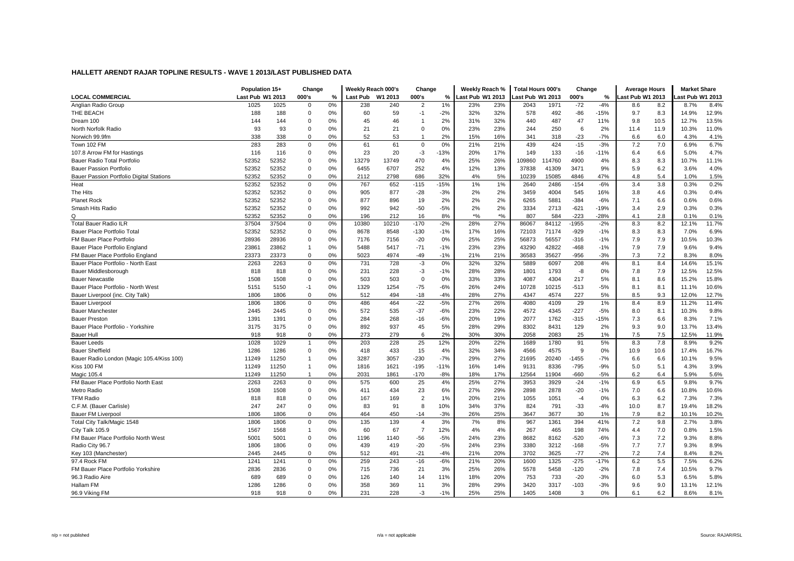|                                                    | Population 15+   |               | Change              |          | Weekly Reach 000's |             | Change         |             | Weekly Reach %  |            | <b>Total Hours 000's</b> |               | Change   |                | <b>Average Hours</b> |            | <b>Market Share</b> |               |
|----------------------------------------------------|------------------|---------------|---------------------|----------|--------------------|-------------|----------------|-------------|-----------------|------------|--------------------------|---------------|----------|----------------|----------------------|------------|---------------------|---------------|
| <b>LOCAL COMMERCIAL</b>                            | Last Pub W1 2013 |               | 000's               | %        | <b>Last Pub</b>    | W1 2013     | 000's          | $\%$        | ast Pub W1 2013 |            | ast Pub W1 2013          |               | 000's    | %              | ast Pub W1 2013      |            | ast Pub W1 2013     |               |
| Anglian Radio Group                                | 1025             | 1025          | $\Omega$            | 0%       | 238                | 240         | $\overline{2}$ | 1%          | 23%             | 23%        | 2043                     | 1971          | $-72$    | $-4%$          | 8.6                  | 8.2        | 8.7%                | 8.4%          |
| THE BEACH                                          | 188              | 188           | $\Omega$            | 0%       | 60                 | 59          | $-1$           | $-2%$       | 32%             | 32%        | 578                      | 492           | $-86$    | -15%           | 9.7                  | 8.3        | 14.9%               | 12.9%         |
| Dream 100                                          | 144              | 144           | $\Omega$            | 0%       | 45                 | 46          |                | 2%          | 31%             | 32%        | 440                      | 487           | 47       | 11%            | 9.8                  | 10.5       | 12.7%               | 13.5%         |
| North Norfolk Radio                                | 93               | 93            | $\mathbf 0$         | 0%       | 21                 | 21          | $\mathbf 0$    | 0%          | 23%             | 23%        | 244                      | 250           | 6        | 2%             | 11.4                 | 11.9       | 10.3%               | 11.0%         |
| Norwich 99.9fm                                     | 338              | 338           | $\Omega$            | 0%       | 52                 | 53          | $\overline{1}$ | 2%          | 15%             | 16%        | 341                      | 318           | $-23$    | $-7%$          | 6.6                  | 6.0        | 4.3%                | 4.1%          |
| Town 102 FM                                        | 283              | 283           | $\mathbf 0$         | 0%       | 61                 | 61          | $\mathsf 0$    | 0%          | 21%             | 21%        | 439                      | 424           | $-15$    | $-3%$          | 7.2                  | 7.0        | 6.9%                | 6.7%          |
| 107.8 Arrow FM for Hastings                        | 116              | 116           | $\Omega$            | 0%       | 23                 | 20          | $-3$           | $-13%$      | 20%             | 17%        | 149                      | 133           | $-16$    | $-11%$         | 6.4                  | 6.6        | 5.0%                | 4.7%          |
| Bauer Radio Total Portfolio                        | 52352            | 52352         | $\Omega$            | 0%       | 13279              | 13749       | 470            | 4%          | 25%             | 26%        | 109860                   | 114760        | 4900     | 4%             | 8.3                  | 8.3        | 10.7%               | 11.1%         |
| <b>Bauer Passion Portfolio</b>                     | 52352            | 52352         | $\Omega$            | 0%       | 6455               | 6707        | 252            | 4%          | 12%             | 13%        | 37838                    | 41309         | 3471     | 9%             | 5.9                  | 6.2        | 3.6%                | 4.0%          |
| Bauer Passion Portfolio Digital Stations           | 52352            | 52352         | $\mathbf 0$         | 0%       | 2112               | 2798        | 686            | 32%         | 4%              | 5%         | 10239                    | 15085         | 4846     | 47%            | 4.8                  | 5.4        | 1.0%                | 1.5%          |
| Heat                                               | 52352            | 52352         | $\mathbf 0$         | 0%       | 767                | 652         | $-115$         | $-15%$      | 1%              | 1%         | 2640                     | 2486          | $-154$   | $-6%$          | 3.4                  | 3.8        | 0.3%                | 0.2%          |
| The Hits                                           | 52352            | 52352         | $\mathbf 0$         | 0%       | 905                | 877         | $-28$          | $-3%$       | 2%              | 2%         | 3459                     | 4004          | 545      | 16%            | 3.8                  | 4.6        | 0.3%                | 0.4%          |
| Planet Rock                                        | 52352            | 52352         | $\mathbf 0$         | 0%       | 877                | 896         | 19             | 2%          | 2%              | 2%         | 6265                     | 5881          | $-384$   | $-6%$          | 7.1                  | 6.6        | 0.6%                | 0.6%          |
| Smash Hits Radio                                   | 52352            | 52352         | $\Omega$            | 0%       | 992                | 942         | $-50$          | $-5%$       | 2%              | 2%         | 3334                     | 2713          | $-621$   | $-19%$         | 3.4                  | 2.9        | 0.3%                | 0.3%          |
|                                                    | 52352            | 52352         | $\Omega$            | 0%       | 196                | 212         | 16             | 8%          | $*$ %           | $*$ %      | 807                      | 584           | $-223$   | $-28%$         | 4.1                  | 2.8        | 0.1%                | 0.1%          |
| <b>Total Bauer Radio ILR</b>                       | 37504            | 37504         | $\Omega$            | 0%       | 10380              | 10210       | $-170$         | $-2%$       | 28%             | 27%        | 86067                    | 84112         | $-1955$  | $-2%$          | 8.3                  | 8.2        | 12.1%               | 11.7%         |
| Bauer Place Portfolio Total                        | 52352            | 52352         | $\mathbf 0$         | 0%       | 8678               | 8548        | $-130$         | $-1%$       | 17%             | 16%        | 72103                    | 71174         | $-929$   | $-1%$          | 8.3                  | 8.3        | 7.0%                | 6.9%          |
| <b>FM Bauer Place Portfolio</b>                    | 28936            | 28936         | $\Omega$            | 0%       | 7176               | 7156        | $-20$          | 0%          | 25%             | 25%        | 56873                    | 56557         | $-316$   | $-1%$          | 7.9                  | 7.9        | 10.5%               | 10.3%         |
| Bauer Place Portfolio England                      | 23861            | 23862         | $\overline{1}$      | 0%       | 5488               | 5417        | $-71$          | $-1%$       | 23%             | 23%        | 43290                    | 42822         | $-468$   | $-1%$          | 7.9                  | 7.9        | 9.6%                | 9.4%          |
| FM Bauer Place Portfolio England                   | 23373            | 23373         | $\Omega$            | 0%       | 5023               | 4974        | -49            | $-1%$       | 21%             | 21%        | 36583                    | 35627         | $-956$   | $-3%$          | 7.3                  | 7.2        | 8.3%                | 8.0%          |
| Bauer Place Portfolio - North East                 | 2263             | 2263          | $\mathbf 0$         | 0%       | 731                | 728         | $-3$           | 0%          | 32%             | 32%        | 5889                     | 6097          | 208      | 4%             | 8.1                  | 8.4        | 14.6%               | 15.1%         |
| Bauer Middlesborough                               | 818              | 818           | $\Omega$            | 0%       | 231                | 228         | $-3$           | $-1%$       | 28%             | 28%        | 1801                     | 1793          | -8       | 0%             | 7.8                  | 7.9        | 12.5%               | 12.5%         |
| <b>Bauer Newcastle</b>                             | 1508             | 1508          | $\Omega$            | 0%       | 503                | 503         | $\mathbf 0$    | 0%          | 33%             | 33%        | 4087                     | 4304          | 217      | 5%             | 8.1                  | 8.6        | 15.2%               | 15.8%         |
| Bauer Place Portfolio - North West                 | 5151             | 5150          |                     | 0%       | 1329               | 1254        | $-75$          | $-6%$       | 26%             | 24%        | 10728                    | 10215         | $-513$   | $-5%$          | 8.1                  | 8.1        | 11.1%               | 10.6%         |
| Bauer Liverpool (inc. City Talk)                   | 1806             | 1806          | $-1$<br>$\mathbf 0$ | 0%       | 512                | 494         | $-18$          | $-4%$       | 28%             | 27%        | 4347                     | 4574          | 227      | 5%             | 8.5                  | 9.3        | 12.0%               | 12.7%         |
| <b>Bauer Liverpool</b>                             | 1806             | 1806          | $\mathbf 0$         | 0%       | 486                | 464         | $-22$          | $-5%$       | 27%             | 26%        | 4080                     | 4109          | 29       | 1%             | 8.4                  | 8.9        | 11.2%               | 11.4%         |
| <b>Bauer Manchester</b>                            | 2445             | 2445          | $\Omega$            | 0%       | 572                | 535         | $-37$          | $-6%$       |                 | 22%        | 4572                     | 4345          | $-227$   | $-5%$          | 8.0                  | 8.1        | 10.3%               | 9.8%          |
| <b>Bauer Preston</b>                               | 1391             | 1391          | $\mathbf 0$         | 0%       | 284                | 268         |                | $-6%$       | 23%<br>20%      | 19%        | 2077                     | 1762          | $-315$   | $-15%$         | 7.3                  | 6.6        | 8.3%                | 7.1%          |
|                                                    |                  |               | $\Omega$            |          |                    |             | -16            |             |                 | 29%        |                          | 8431          |          |                |                      | 9.0        |                     |               |
| Bauer Place Portfolio - Yorkshire                  | 3175             | 3175          | $\Omega$            | 0%       | 892                | 937<br>279  | 45             | 5%          | 28%             |            | 8302                     |               | 129      | 2%             | 9.3                  |            | 13.7%               | 13.4%         |
| <b>Bauer Hull</b><br><b>Bauer Leeds</b>            | 918<br>1028      | 918<br>1029   | $\overline{1}$      | 0%<br>0% | 273<br>203         | 228         | 6<br>25        | 2%<br>12%   | 30%<br>20%      | 30%<br>22% | 2058<br>1689             | 2083<br>1780  | 25<br>91 | 1%<br>5%       | 7.5<br>8.3           | 7.5<br>7.8 | 12.5%<br>8.9%       | 11.9%<br>9.2% |
|                                                    |                  |               | $\mathbf 0$         |          |                    |             |                |             |                 |            |                          |               |          |                |                      |            |                     |               |
| <b>Bauer Sheffield</b>                             | 1286<br>11249    | 1286          | -1                  | 0%<br>0% | 418                | 433<br>3057 | 15             | 4%<br>$-7%$ | 32%             | 34%<br>27% | 4566                     | 4575<br>20240 | 9        | 0%<br>$-7%$    | 10.9                 | 10.6       | 17.4%               | 16.7%<br>9.5% |
| Bauer Radio London (Magic 105.4/Kiss 100)          |                  | 11250         |                     |          | 3287               |             | $-230$         |             | 29%             |            | 21695                    |               | $-1455$  |                | 6.6                  | 6.6        | 10.1%               |               |
| Kiss 100 FM                                        | 11249            | 11250         | -1                  | 0%       | 1816               | 1621        | $-195$         | $-11%$      | 16%             | 14%        | 9131                     | 8336          | $-795$   | $-9%$          | 5.0                  | 5.1        | 4.3%                | 3.9%          |
| Magic 105.4<br>FM Bauer Place Portfolio North East | 11249<br>2263    | 11250<br>2263 | $\mathbf 0$         | 0%       | 2031<br>575        | 1861<br>600 | $-170$<br>25   | $-8%$<br>4% | 18%             | 17%<br>27% | 12564                    | 11904<br>3929 | $-660$   | $-5%$<br>$-1%$ | 6.2<br>6.9           | 6.4<br>6.5 | 5.9%<br>9.8%        | 5.6%<br>9.7%  |
|                                                    |                  |               |                     | 0%       |                    |             |                |             | 25%             |            | 3953                     |               | $-24$    |                |                      |            |                     |               |
| Metro Radio                                        | 1508             | 1508          | $\Omega$            | 0%       | 411                | 434         | 23             | 6%          | 27%             | 29%        | 2898                     | 2878          | $-20$    | $-1%$          | 7.0                  | 6.6        | 10.8%               | 10.6%         |
| <b>TFM Radio</b>                                   | 818              | 818           | $\Omega$            | 0%       | 167                | 169         | $\overline{2}$ | 1%          | 20%             | 21%        | 1055                     | 1051          | $-4$     | 0%             | 6.3                  | 6.2        | 7.3%                | 7.3%          |
| C.F.M. (Bauer Carlisle)                            | 247              | 247           | $\mathbf 0$         | 0%       | 83                 | 91          | 8              | 10%         | 34%             | 37%        | 824                      | 791           | $-33$    | $-4%$          | 10.0                 | 8.7        | 19.4%               | 18.2%         |
| <b>Bauer FM Liverpool</b>                          | 1806             | 1806          | $\Omega$            | 0%       | 464                | 450         | $-14$          | $-3%$       | 26%             | 25%        | 3647                     | 3677          | 30       | 1%             | 7.9                  | 8.2        | 10.1%               | 10.2%         |
| Total City Talk/Magic 1548                         | 1806             | 1806          | $\mathbf 0$         | 0%       | 135                | 139         | $\overline{4}$ | 3%          | 7%              | 8%         | 967                      | 1361          | 394      | 41%            | 7.2                  | 9.8        | 2.7%                | 3.8%          |
| City Talk 105.9                                    | 1567             | 1568          | -1                  | 0%       | 60                 | 67          | $\overline{7}$ | 12%         | 4%              | 4%         | 267                      | 465           | 198      | 74%            | 4.4                  | 7.0        | 0.8%                | 1.5%          |
| FM Bauer Place Portfolio North West                | 5001             | 5001          | $\Omega$            | 0%       | 1196               | 1140        | $-56$          | $-5%$       | 24%             | 23%        | 8682                     | 8162          | $-520$   | $-6%$          | 7.3                  | 7.2        | 9.3%                | 8.8%          |
| Radio City 96.7                                    | 1806             | 1806          | $\Omega$            | 0%       | 439                | 419         | $-20$          | $-5%$       | 24%             | 23%        | 3380                     | 3212          | $-168$   | $-5%$          | 7.7                  | 7.7        | 9.3%                | 8.9%          |
| Key 103 (Manchester)                               | 2445             | 2445          | $\Omega$            | 0%       | 512                | 491         | $-21$          | $-4%$       | 21%             | 20%        | 3702                     | 3625          | $-77$    | $-2%$          | 7.2                  | 7.4        | 8.4%                | 8.2%          |
| 97.4 Rock FM                                       | 1241             | 1241          | $\mathbf 0$         | 0%       | 259                | 243         | $-16$          | $-6%$       | 21%             | 20%        | 1600                     | 1325          | $-275$   | $-17%$         | 6.2                  | 5.5        | 7.5%                | 6.2%          |
| FM Bauer Place Portfolio Yorkshire                 | 2836             | 2836          | $\mathbf 0$         | 0%       | 715                | 736         | 21             | 3%          | 25%             | 26%        | 5578                     | 5458          | $-120$   | $-2%$          | 7.8                  | 7.4        | 10.5%               | 9.7%          |
| 96.3 Radio Aire                                    | 689              | 689           | 0                   | 0%       | 126                | 140         | 14             | 11%         | 18%             | 20%        | 753                      | 733           | $-20$    | $-3%$          | 6.0                  | 5.3        | 6.5%                | 5.8%          |
| Hallam FM                                          | 1286             | 1286          | $\Omega$            | 0%       | 358                | 369         | 11             | 3%          | 28%             | 29%        | 3420                     | 3317          | $-103$   | $-3%$          | 9.6                  | 9.0        | 13.1%               | 12.1%         |
| 96.9 Viking FM                                     | 918              | 918           | $\Omega$            | 0%       | 231                | 228         | $-3$           | $-1%$       | 25%             | 25%        | 1405                     | 1408          | 3        | 0%             | 6.1                  | 6.2        | 8.6%                | 8.1%          |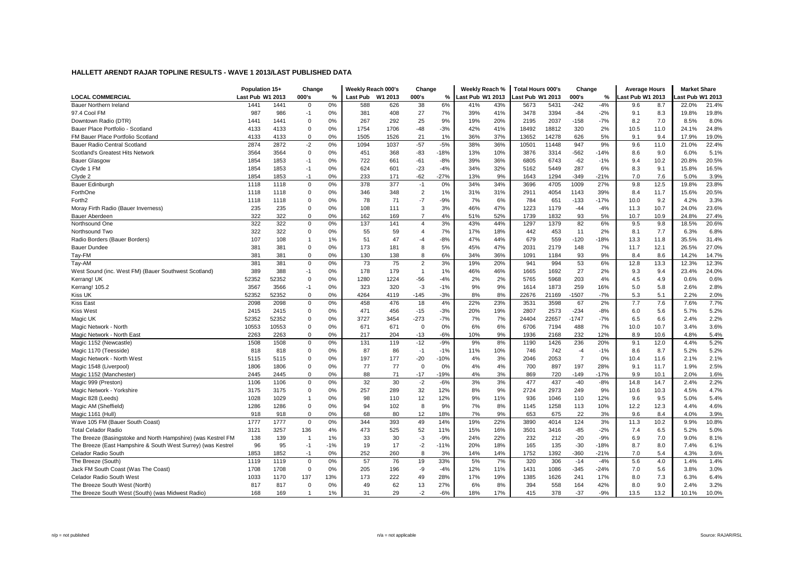|                                                              | Population 15+   |       | Change         |       | Weekly Reach 000's |         | Change         |        | Weekly Reach %  |     | <b>Total Hours 000's</b> |       | Change         |        | <b>Average Hours</b> |      | <b>Market Share</b> |       |
|--------------------------------------------------------------|------------------|-------|----------------|-------|--------------------|---------|----------------|--------|-----------------|-----|--------------------------|-------|----------------|--------|----------------------|------|---------------------|-------|
| <b>LOCAL COMMERCIAL</b>                                      | Last Pub W1 2013 |       | 000's          | %     | Last Pub           | W1 2013 | 000's          | %      | ast Pub W1 2013 |     | ast Pub W1 2013          |       | 000's          | $\%$   | ast Pub W1 2013      |      | ast Pub W1 2013     |       |
| Bauer Northern Ireland                                       | 1441             | 1441  | $\mathbf 0$    | 0%    | 588                | 626     | 38             | 6%     | 41%             | 43% | 5673                     | 5431  | $-242$         | $-4%$  | 9.6                  | 8.7  | 22.0%               | 21.4% |
| 97.4 Cool FM                                                 | 987              | 986   | -1             | 0%    | 381                | 408     | 27             | 7%     | 39%             | 41% | 3478                     | 3394  | -84            | $-2%$  | 9.1                  | 8.3  | 19.8%               | 19.8% |
| Downtown Radio (DTR)                                         | 1441             | 1441  | $\mathbf 0$    | 0%    | 267                | 292     | 25             | 9%     | 19%             | 20% | 2195                     | 2037  | $-158$         | $-7%$  | 8.2                  | 7.0  | 8.5%                | 8.0%  |
| Bauer Place Portfolio - Scotland                             | 4133             | 4133  | $\mathbf 0$    | 0%    | 1754               | 1706    | $-48$          | $-3%$  | 42%             | 41% | 18492                    | 18812 | 320            | 2%     | 10.5                 | 11.0 | 24.1%               | 24.8% |
| FM Bauer Place Portfolio Scotland                            | 4133             | 4133  | $\Omega$       | 0%    | 1505               | 1526    | 21             | 1%     | 36%             | 37% | 13652                    | 14278 | 626            | 5%     | 9.1                  | 9.4  | 17.9%               | 19.0% |
| Bauer Radio Central Scotland                                 | 2874             | 2872  | $-2$           | 0%    | 1094               | 1037    | $-57$          | $-5%$  | 38%             | 36% | 10501                    | 11448 | 947            | 9%     | 9.6                  | 11.0 | 21.0%               | 22.4% |
| Scotland's Greatest Hits Network                             | 3564             | 3564  | $\mathbf 0$    | 0%    | 451                | 368     | $-83$          | $-18%$ | 13%             | 10% | 3876                     | 3314  | $-562$         | $-14%$ | 8.6                  | 9.0  | 6.0%                | 5.1%  |
| <b>Bauer Glasgow</b>                                         | 1854             | 1853  | $-1$           | 0%    | 722                | 661     | $-61$          | $-8%$  | 39%             | 36% | 6805                     | 6743  | $-62$          | $-1%$  | 9.4                  | 10.2 | 20.8%               | 20.5% |
| Clyde 1 FM                                                   | 1854             | 1853  | $-1$           | 0%    | 624                | 601     | $-23$          | $-4%$  | 34%             | 32% | 5162                     | 5449  | 287            | 6%     | 8.3                  | 9.1  | 15.8%               | 16.5% |
| Clyde 2                                                      | 1854             | 1853  | $-1$           | 0%    | 233                | 171     | $-62$          | $-27%$ | 13%             | 9%  | 1643                     | 1294  | $-349$         | $-21%$ | 7.0                  | 7.6  | 5.0%                | 3.9%  |
| Bauer Edinburgh                                              | 1118             | 1118  | $\mathbf 0$    | 0%    | 378                | 377     | $-1$           | 0%     | 34%             | 34% | 3696                     | 4705  | 1009           | 27%    | 9.8                  | 12.5 | 19.8%               | 23.8% |
| ForthOne                                                     | 1118             | 1118  | $\mathbf 0$    | 0%    | 346                | 348     | $\overline{2}$ | 1%     | 31%             | 31% | 2911                     | 4054  | 1143           | 39%    | 8.4                  | 11.7 | 15.6%               | 20.5% |
| Forth <sub>2</sub>                                           | 1118             | 1118  | $\Omega$       | 0%    | 78                 | 71      | $-7$           | $-9%$  | 7%              | 6%  | 784                      | 651   | $-133$         | $-17%$ | 10.0                 | 9.2  | 4.2%                | 3.3%  |
| Moray Firth Radio (Bauer Inverness)                          | 235              | 235   | $\Omega$       | 0%    | 108                | 111     | 3              | 3%     | 46%             | 47% | 1223                     | 1179  | $-44$          | $-4%$  | 11.3                 | 10.7 | 24.0%               | 23.6% |
| Bauer Aberdeen                                               | 322              | 322   | $\Omega$       | 0%    | 162                | 169     | $\overline{7}$ | 4%     | 51%             | 52% | 1739                     | 1832  | 93             | 5%     | 10.7                 | 10.9 | 24.8%               | 27.4% |
| Northsound One                                               | 322              | 322   | $\Omega$       | 0%    | 137                | 141     | $\overline{4}$ | 3%     | 43%             | 44% | 1297                     | 1379  | 82             | 6%     | 9.5                  | 9.8  | 18.5%               | 20.6% |
| Northsound Two                                               | 322              | 322   | $\Omega$       | 0%    | 55                 | 59      | $\overline{4}$ | 7%     | 17%             | 18% | 442                      | 453   | 11             | 2%     | 8.1                  | 7.7  | 6.3%                | 6.8%  |
| Radio Borders (Bauer Borders)                                | 107              | 108   | $\overline{1}$ | 1%    | 51                 | 47      | $-4$           | $-8%$  | 47%             | 44% | 679                      | 559   | $-120$         | $-18%$ | 13.3                 | 11.8 | 35.5%               | 31.4% |
| <b>Bauer Dundee</b>                                          | 381              | 381   | $\mathbf 0$    | 0%    | 173                | 181     | 8              | 5%     | 45%             | 47% | 2031                     | 2179  | 148            | 7%     | 11.7                 | 12.1 | 26.5%               | 27.0% |
| Tay-FM                                                       | 381              | 381   | $\Omega$       | 0%    | 130                | 138     | 8              | 6%     | 34%             | 36% | 1091                     | 1184  | 93             | 9%     | 8.4                  | 8.6  | 14.2%               | 14.7% |
| Tay-AM                                                       | 381              | 381   | $\mathbf 0$    | 0%    | 73                 | 75      | 2              | 3%     | 19%             | 20% | 941                      | 994   | 53             | 6%     | 12.8                 | 13.3 | 12.3%               | 12.3% |
| West Sound (inc. West FM) (Bauer Southwest Scotland)         | 389              | 388   | $-1$           | 0%    | 178                | 179     | $\overline{1}$ | 1%     | 46%             | 46% | 1665                     | 1692  | 27             | 2%     | 9.3                  | 9.4  | 23.4%               | 24.0% |
| Kerrang! UK                                                  | 52352            | 52352 | $\mathbf 0$    | 0%    | 1280               | 1224    | $-56$          | $-4%$  | 2%              | 2%  | 5765                     | 5968  | 203            | 4%     | 4.5                  | 4.9  | 0.6%                | 0.6%  |
| Kerrang! 105.2                                               | 3567             | 3566  | $-1$           | 0%    | 323                | 320     | $-3$           | $-1%$  | 9%              | 9%  | 1614                     | 1873  | 259            | 16%    | 5.0                  | 5.8  | 2.6%                | 2.8%  |
| Kiss UK                                                      | 52352            | 52352 | $\mathbf 0$    | 0%    | 4264               | 4119    | $-145$         | $-3%$  | 8%              | 8%  | 22676                    | 21169 | $-1507$        | $-7%$  | 5.3                  | 5.1  | 2.2%                | 2.0%  |
| <b>Kiss East</b>                                             | 2098             | 2098  | $\mathbf 0$    | 0%    | 458                | 476     | 18             | 4%     | 22%             | 23% | 3531                     | 3598  | 67             | 2%     | 7.7                  | 7.6  | 7.6%                | 7.7%  |
| <b>Kiss West</b>                                             | 2415             | 2415  | $\mathbf 0$    | 0%    | 471                | 456     | $-15$          | -3%    | 20%             | 19% | 2807                     | 2573  | $-234$         | $-8%$  | 6.0                  | 5.6  | 5.7%                | 5.2%  |
| Magic UK                                                     | 52352            | 52352 | $\Omega$       | 0%    | 3727               | 3454    | $-273$         | $-7%$  | 7%              | 7%  | 24404                    | 22657 | $-1747$        | $-7%$  | 6.5                  | 6.6  | 2.4%                | 2.2%  |
| Magic Network - North                                        | 10553            | 10553 | $\mathbf 0$    | 0%    | 671                | 671     | $\mathbf 0$    | 0%     | 6%              | 6%  | 6706                     | 7194  | 488            | 7%     | 10.0                 | 10.7 | 3.4%                | 3.6%  |
| Magic Network - North East                                   | 2263             | 2263  | $\Omega$       | 0%    | 217                | 204     | $-13$          | $-6%$  | 10%             | 9%  | 1936                     | 2168  | 232            | 12%    | 8.9                  | 10.6 | 4.8%                | 5.4%  |
| Magic 1152 (Newcastle)                                       | 1508             | 1508  | $\mathbf 0$    | 0%    | 131                | 119     | $-12$          | $-9%$  | 9%              | 8%  | 1190                     | 1426  | 236            | 20%    | 9.1                  | 12.0 | 4.4%                | 5.2%  |
| Magic 1170 (Teesside)                                        | 818              | 818   | $\mathbf 0$    | 0%    | 87                 | 86      | $-1$           | $-1%$  | 11%             | 10% | 746                      | 742   | $-4$           | $-1%$  | 8.6                  | 8.7  | 5.2%                | 5.2%  |
| Magic Network - North West                                   | 5115             | 5115  | 0              | 0%    | 197                | 177     | $-20$          | $-10%$ | 4%              | 3%  | 2046                     | 2053  | $\overline{7}$ | 0%     | 10.4                 | 11.6 | 2.1%                | 2.1%  |
| Magic 1548 (Liverpool)                                       | 1806             | 1806  | 0              | 0%    | 77                 | 77      | 0              | 0%     | 4%              | 4%  | 700                      | 897   | 197            | 28%    | 9.1                  | 11.7 | 1.9%                | 2.5%  |
| Magic 1152 (Manchester)                                      | 2445             | 2445  | $\Omega$       | 0%    | 88                 | 71      | $-17$          | $-19%$ | 4%              | 3%  | 869                      | 720   | $-149$         | $-17%$ | 9.9                  | 10.1 | 2.0%                | 1.6%  |
| Magic 999 (Preston)                                          | 1106             | 1106  | $\mathbf 0$    | 0%    | 32                 | 30      | $-2$           | $-6%$  | 3%              | 3%  | 477                      | 437   | $-40$          | $-8%$  | 14.8                 | 14.7 | 2.4%                | 2.2%  |
| Magic Network - Yorkshire                                    | 3175             | 3175  | $\Omega$       | 0%    | 257                | 289     | 32             | 12%    | 8%              | 9%  | 2724                     | 2973  | 249            | 9%     | 10.6                 | 10.3 | 4.5%                | 4.7%  |
| Magic 828 (Leeds)                                            | 1028             | 1029  | -1             | 0%    | 98                 | 110     | 12             | 12%    | 9%              | 11% | 936                      | 1046  | 110            | 12%    | 9.6                  | 9.5  | 5.0%                | 5.4%  |
| Magic AM (Sheffield)                                         | 1286             | 1286  | $\mathbf 0$    | 0%    | 94                 | 102     | 8              | 9%     | 7%              | 8%  | 1145                     | 1258  | 113            | 10%    | 12.2                 | 12.3 | 4.4%                | 4.6%  |
| Magic 1161 (Hull)                                            | 918              | 918   | $\Omega$       | 0%    | 68                 | 80      | 12             | 18%    | 7%              | 9%  | 653                      | 675   | 22             | 3%     | 9.6                  | 8.4  | 4.0%                | 3.9%  |
| Wave 105 FM (Bauer South Coast)                              | 1777             | 1777  | $\mathbf 0$    | 0%    | 344                | 393     | 49             | 14%    | 19%             | 22% | 3890                     | 4014  | 124            | 3%     | 11.3                 | 10.2 | 9.9%                | 10.8% |
| <b>Total Celador Radio</b>                                   | 3121             | 3257  | 136            | 4%    | 473                | 525     | 52             | 11%    | 15%             | 16% | 3501                     | 3416  | $-85$          | $-2%$  | 7.4                  | 6.5  | 5.2%                | 5.0%  |
| The Breeze (Basingstoke and North Hampshire) (was Kestrel FM | 138              | 139   | $\overline{1}$ | 1%    | 33                 | 30      | $-3$           | $-9%$  | 24%             | 22% | 232                      | 212   | $-20$          | $-9%$  | 6.9                  | 7.0  | 9.0%                | 8.1%  |
| The Breeze (East Hampshire & South West Surrey) (was Kestrel | 96               | 95    | $-1$           | $-1%$ | 19                 | 17      | $-2$           | $-11%$ | 20%             | 18% | 165                      | 135   | $-30$          | $-18%$ | 8.7                  | 8.0  | 7.4%                | 6.1%  |
| Celador Radio South                                          | 1853             | 1852  | $-1$           | 0%    | 252                | 260     | 8              | 3%     | 14%             | 14% | 1752                     | 1392  | $-360$         | $-21%$ | 7.0                  | 5.4  | 4.3%                | 3.6%  |
| The Breeze (South)                                           | 1119             | 1119  | $\mathbf 0$    | 0%    | 57                 | 76      | 19             | 33%    | 5%              | 7%  | 320                      | 306   | $-14$          | $-4%$  | 5.6                  | 4.0  | 1.4%                | 1.4%  |
| Jack FM South Coast (Was The Coast)                          | 1708             | 1708  | $\mathbf 0$    | 0%    | 205                | 196     | -9             | $-4%$  | 12%             | 11% | 1431                     | 1086  | $-345$         | $-24%$ | 7.0                  | 5.6  | 3.8%                | 3.0%  |
| Celador Radio South West                                     | 1033             | 1170  | 137            | 13%   | 173                | 222     | 49             | 28%    | 17%             | 19% | 1385                     | 1626  | 241            | 17%    | 8.0                  | 7.3  | 6.3%                | 6.4%  |
| The Breeze South West (North)                                | 817              | 817   | $\Omega$       | 0%    | 49                 | 62      | 13             | 27%    | 6%              | 8%  | 394                      | 558   | 164            | 42%    | 8.0                  | 9.0  | 2.4%                | 3.2%  |
| The Breeze South West (South) (was Midwest Radio)            | 168              | 169   |                | 1%    | 31                 | 29      | $-2$           | $-6%$  | 18%             | 17% | 415                      | 378   | $-37$          | $-9%$  | 13.5                 | 13.2 | 10.1%               | 10.0% |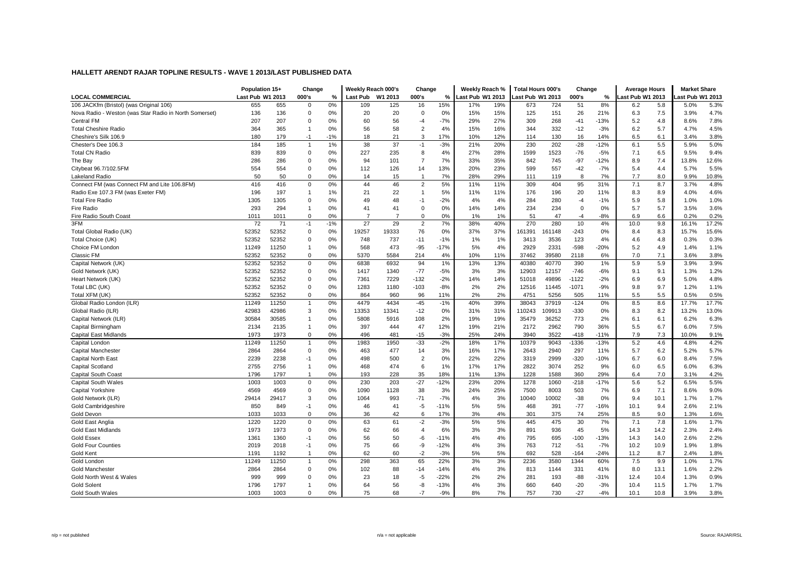|                                                        | Population 15+   |       | Change         |       | Weekly Reach 000's |                | Change         |        | Weekly Reach %   |     | <b>Total Hours 000's</b> |        | Change      |        | <b>Average Hours</b> |      | <b>Market Share</b> |       |
|--------------------------------------------------------|------------------|-------|----------------|-------|--------------------|----------------|----------------|--------|------------------|-----|--------------------------|--------|-------------|--------|----------------------|------|---------------------|-------|
| <b>LOCAL COMMERCIAL</b>                                | Last Pub W1 2013 |       | 000's          | %     | Last Pub           | W1 2013        | 000's          | %      | Last Pub W1 2013 |     | ast Pub W1 2013          |        | 000's       | %      | ast Pub W1 2013      |      | ast Pub W1 2013.    |       |
| 106 JACKfm (Bristol) (was Original 106)                | 655              | 655   | $\mathbf 0$    | 0%    | 109                | 125            | 16             | 15%    | 17%              | 19% | 673                      | 724    | 51          | 8%     | 6.2                  | 5.8  | 5.0%                | 5.3%  |
| Nova Radio - Weston (was Star Radio in North Somerset) | 136              | 136   | $\mathbf 0$    | 0%    | 20                 | 20             | $\mathbf 0$    | 0%     | 15%              | 15% | 125                      | 151    | 26          | 21%    | 6.3                  | 7.5  | 3.9%                | 4.7%  |
| Central FM                                             | 207              | 207   | $\Omega$       | 0%    | 60                 | 56             | $-4$           | $-7%$  | 29%              | 27% | 309                      | 268    | $-41$       | $-13%$ | 5.2                  | 4.8  | 8.6%                | 7.8%  |
| <b>Total Cheshire Radio</b>                            | 364              | 365   | -1             | 0%    | 56                 | 58             | $\overline{2}$ | 4%     | 15%              | 16% | 344                      | 332    | $-12$       | $-3%$  | 6.2                  | 5.7  | 4.7%                | 4.5%  |
| Cheshire's Silk 106.9                                  | 180              | 179   | $-1$           | $-1%$ | 18                 | 21             | 3              | 17%    | 10%              | 12% | 114                      | 130    | 16          | 14%    | 6.5                  | 6.1  | 3.4%                | 3.8%  |
| Chester's Dee 106.3                                    | 184              | 185   | $\overline{1}$ | 1%    | 38                 | 37             | $-1$           | $-3%$  | 21%              | 20% | 230                      | 202    | $-28$       | $-12%$ | 6.1                  | 5.5  | 5.9%                | 5.0%  |
| <b>Total CN Radio</b>                                  | 839              | 839   | $\Omega$       | 0%    | 227                | 235            | 8              | 4%     | 27%              | 28% | 1599                     | 1523   | $-76$       | $-5%$  | 7.1                  | 6.5  | 9.5%                | 9.4%  |
| The Bay                                                | 286              | 286   | $\mathbf 0$    | 0%    | 94                 | 101            | $\overline{7}$ | 7%     | 33%              | 35% | 842                      | 745    | $-97$       | $-12%$ | 8.9                  | 7.4  | 13.8%               | 12.6% |
| Citybeat 96.7/102.5FM                                  | 554              | 554   | $\mathbf 0$    | 0%    | 112                | 126            | 14             | 13%    | 20%              | 23% | 599                      | 557    | $-42$       | $-7%$  | 5.4                  | 4.4  | 5.7%                | 5.5%  |
| Lakeland Radio                                         | 50               | 50    | $\Omega$       | 0%    | 14                 | 15             | $\overline{1}$ | 7%     | 28%              | 29% | 111                      | 119    | 8           | 7%     | 7.7                  | 8.0  | 9.9%                | 10.8% |
| Connect FM (was Connect FM and Lite 106.8FM)           | 416              | 416   | $\mathbf 0$    | 0%    | 44                 | 46             | $\overline{2}$ | 5%     | 11%              | 11% | 309                      | 404    | 95          | 31%    | 7.1                  | 8.7  | 3.7%                | 4.8%  |
| Radio Exe 107.3 FM (was Exeter FM)                     | 196              | 197   | -1             | 1%    | 21                 | 22             | $\mathbf{1}$   | 5%     | 11%              | 11% | 176                      | 196    | 20          | 11%    | 8.3                  | 8.9  | 4.0%                | 4.6%  |
| <b>Total Fire Radio</b>                                | 1305             | 1305  | $\Omega$       | 0%    | 49                 | 48             | $-1$           | $-2%$  | 4%               | 4%  | 284                      | 280    | $-4$        | $-1%$  | 5.9                  | 5.8  | 1.0%                | 1.0%  |
| Fire Radio                                             | 293              | 294   | -1             | 0%    | 41                 | 41             | $\mathbf 0$    | 0%     | 14%              | 14% | 234                      | 234    | $\mathbf 0$ | 0%     | 5.7                  | 5.7  | 3.5%                | 3.6%  |
| Fire Radio South Coast                                 | 1011             | 1011  | $\mathbf 0$    | 0%    | $\overline{7}$     | $\overline{7}$ | $\Omega$       | 0%     | 1%               | 1%  | 51                       | 47     | $-4$        | $-8%$  | 6.9                  | 6.6  | 0.2%                | 0.2%  |
| 3FM                                                    | 72               | 71    | $-1$           | $-1%$ | 27                 | 29             | $\overline{2}$ | 7%     | 38%              | 40% | 270                      | 280    | 10          | 4%     | 10.0                 | 9.8  | 16.1%               | 17.2% |
| Total Global Radio (UK)                                | 52352            | 52352 | $\mathbf 0$    | 0%    | 19257              | 19333          | 76             | 0%     | 37%              | 37% | 161391                   | 61148  | $-243$      | 0%     | 8.4                  | 8.3  | 15.7%               | 15.6% |
| Total Choice (UK)                                      | 52352            | 52352 | $\mathbf 0$    | 0%    | 748                | 737            | $-11$          | $-1%$  | 1%               | 1%  | 3413                     | 3536   | 123         | 4%     | 4.6                  | 4.8  | 0.3%                | 0.3%  |
| Choice FM London                                       | 11249            | 11250 | $\overline{1}$ | 0%    | 568                | 473            | $-95$          | $-17%$ | 5%               | 4%  | 2929                     | 2331   | $-598$      | $-20%$ | 5.2                  | 4.9  | 1.4%                | 1.1%  |
| Classic FM                                             | 52352            | 52352 | $\mathbf 0$    | 0%    | 5370               | 5584           | 214            | 4%     | 10%              | 11% | 37462                    | 39580  | 2118        | 6%     | 7.0                  | 7.1  | 3.6%                | 3.8%  |
| Capital Network (UK)                                   | 52352            | 52352 | $\mathbf 0$    | 0%    | 6838               | 6932           | 94             | 1%     | 13%              | 13% | 40380                    | 40770  | 390         | 1%     | 5.9                  | 5.9  | 3.9%                | 3.9%  |
| Gold Network (UK)                                      | 52352            | 52352 | $\mathbf 0$    | 0%    | 1417               | 1340           | $-77$          | $-5%$  | 3%               | 3%  | 12903                    | 12157  | $-746$      | $-6%$  | 9.1                  | 9.1  | 1.3%                | 1.2%  |
| Heart Network (UK)                                     | 52352            | 52352 | $\mathbf 0$    | 0%    | 7361               | 7229           | $-132$         | $-2%$  | 14%              | 14% | 51018                    | 49896  | $-1122$     | $-2%$  | 6.9                  | 6.9  | 5.0%                | 4.8%  |
| Total LBC (UK)                                         | 52352            | 52352 | $\mathbf 0$    | 0%    | 1283               | 1180           | $-103$         | $-8%$  | 2%               | 2%  | 12516                    | 11445  | $-1071$     | $-9%$  | 9.8                  | 9.7  | 1.2%                | 1.1%  |
| Total XFM (UK)                                         | 52352            | 52352 | $\Omega$       | 0%    | 864                | 960            | 96             | 11%    | 2%               | 2%  | 4751                     | 5256   | 505         | 11%    | 5.5                  | 5.5  | 0.5%                | 0.5%  |
| Global Radio London (ILR)                              | 11249            | 11250 | $\overline{1}$ | 0%    | 4479               | 4434           | $-45$          | $-1%$  | 40%              | 39% | 38043                    | 37919  | $-124$      | 0%     | 8.5                  | 8.6  | 17.7%               | 17.7% |
| Global Radio (ILR)                                     | 42983            | 42986 | 3              | 0%    | 13353              | 13341          | $-12$          | 0%     | 31%              | 31% | 110243                   | 109913 | $-330$      | 0%     | 8.3                  | 8.2  | 13.2%               | 13.0% |
| Capital Network (ILR)                                  | 30584            | 30585 | -1             | 0%    | 5808               | 5916           | 108            | 2%     | 19%              | 19% | 35479                    | 36252  | 773         | 2%     | 6.1                  | 6.1  | 6.2%                | 6.3%  |
| Capital Birmingham                                     | 2134             | 2135  | $\overline{1}$ | 0%    | 397                | 444            | 47             | 12%    | 19%              | 21% | 2172                     | 2962   | 790         | 36%    | 5.5                  | 6.7  | 6.0%                | 7.5%  |
| Capital East Midlands                                  | 1973             | 1973  | $\mathbf 0$    | 0%    | 496                | 481            | -15            | $-3%$  | 25%              | 24% | 3940                     | 3522   | $-418$      | $-11%$ | 7.9                  | 7.3  | 10.0%               | 9.1%  |
| Capital London                                         | 11249            | 11250 | $\overline{1}$ | 0%    | 1983               | 1950           | $-33$          | $-2%$  | 18%              | 17% | 10379                    | 9043   | $-1336$     | $-13%$ | 5.2                  | 4.6  | 4.8%                | 4.2%  |
| Capital Manchester                                     | 2864             | 2864  | $\mathbf 0$    | 0%    | 463                | 477            | 14             | 3%     | 16%              | 17% | 2643                     | 2940   | 297         | 11%    | 5.7                  | 6.2  | 5.2%                | 5.7%  |
| Capital North East                                     | 2239             | 2238  | $-1$           | 0%    | 498                | 500            | $\overline{2}$ | 0%     | 22%              | 22% | 3319                     | 2999   | $-320$      | $-10%$ | 6.7                  | 6.0  | 8.4%                | 7.5%  |
| Capital Scotland                                       | 2755             | 2756  | -1             | 0%    | 468                | 474            | 6              | 1%     | 17%              | 17% | 2822                     | 3074   | 252         | 9%     | 6.0                  | 6.5  | 6.0%                | 6.3%  |
| <b>Capital South Coast</b>                             | 1796             | 1797  | $\overline{1}$ | 0%    | 193                | 228            | 35             | 18%    | 11%              | 13% | 1228                     | 1588   | 360         | 29%    | 6.4                  | 7.0  | 3.1%                | 4.2%  |
| <b>Capital South Wales</b>                             | 1003             | 1003  | $\mathbf 0$    | 0%    | 230                | 203            | $-27$          | $-12%$ | 23%              | 20% | 1278                     | 1060   | $-218$      | $-17%$ | 5.6                  | 5.2  | 6.5%                | 5.5%  |
| Capital Yorkshire                                      | 4569             | 4569  | $\Omega$       | 0%    | 1090               | 1128           | 38             | 3%     | 24%              | 25% | 7500                     | 8003   | 503         | 7%     | 6.9                  | 7.1  | 8.6%                | 9.0%  |
| Gold Network (ILR)                                     | 29414            | 29417 | 3              | 0%    | 1064               | 993            | $-71$          | $-7%$  | 4%               | 3%  | 10040                    | 10002  | $-38$       | 0%     | 9.4                  | 10.1 | 1.7%                | 1.7%  |
| Gold Cambridgeshire                                    | 850              | 849   | $-1$           | 0%    | 46                 | 41             | $-5$           | $-11%$ | 5%               | 5%  | 468                      | 391    | $-77$       | $-16%$ | 10.1                 | 9.4  | 2.6%                | 2.1%  |
| Gold Devon                                             | 1033             | 1033  | $\Omega$       | 0%    | 36                 | 42             | 6              | 17%    | 3%               | 4%  | 301                      | 375    | 74          | 25%    | 8.5                  | 9.0  | 1.3%                | 1.6%  |
| <b>Gold East Anglia</b>                                | 1220             | 1220  | $\mathbf 0$    | 0%    | 63                 | 61             | $-2$           | $-3%$  | 5%               | 5%  | 445                      | 475    | 30          | 7%     | 7.1                  | 7.8  | 1.6%                | 1.7%  |
| <b>Gold East Midlands</b>                              | 1973             | 1973  | $\mathbf 0$    | 0%    | 62                 | 66             | $\overline{4}$ | 6%     | 3%               | 3%  | 891                      | 936    | 45          | 5%     | 14.3                 | 14.2 | 2.3%                | 2.4%  |
| <b>Gold Essex</b>                                      | 1361             | 1360  | $-1$           | 0%    | 56                 | 50             | -6             | $-11%$ | 4%               | 4%  | 795                      | 695    | $-100$      | $-13%$ | 14.3                 | 14.0 | 2.6%                | 2.2%  |
| <b>Gold Four Counties</b>                              | 2019             | 2018  | $-1$           | 0%    | 75                 | 66             | -9             | $-12%$ | 4%               | 3%  | 763                      | 712    | $-51$       | $-7%$  | 10.2                 | 10.9 | 1.9%                | 1.8%  |
| Gold Kent                                              | 1191             | 1192  | $\overline{1}$ | 0%    | 62                 | 60             | $-2$           | $-3%$  | 5%               | 5%  | 692                      | 528    | $-164$      | $-24%$ | 11.2                 | 8.7  | 2.4%                | 1.8%  |
| Gold London                                            | 11249            | 11250 | $\overline{1}$ | 0%    | 298                | 363            | 65             | 22%    | 3%               | 3%  | 2236                     | 3580   | 1344        | 60%    | 7.5                  | 9.9  | 1.0%                | 1.7%  |
| <b>Gold Manchester</b>                                 | 2864             | 2864  | $\mathbf 0$    | 0%    | 102                | 88             | $-14$          | $-14%$ | 4%               | 3%  | 813                      | 1144   | 331         | 41%    | 8.0                  | 13.1 | 1.6%                | 2.2%  |
| Gold North West & Wales                                | 999              | 999   | 0              | 0%    | 23                 | 18             | -5             | $-22%$ | 2%               | 2%  | 281                      | 193    | $-88$       | $-31%$ | 12.4                 | 10.4 | 1.3%                | 0.9%  |
| <b>Gold Solent</b>                                     | 1796             | 1797  |                | 0%    | 64                 | 56             | -8             | $-13%$ | 4%               | 3%  | 660                      | 640    | $-20$       | $-3%$  | 10.4                 | 11.5 | 1.7%                | 1.7%  |
| Gold South Wales                                       | 1003             | 1003  | $\Omega$       | 0%    | 75                 | 68             | $-7$           | $-9%$  | 8%               | 7%  | 757                      | 730    | $-27$       | $-4%$  | 10.1                 | 10.8 | 3.9%                | 3.8%  |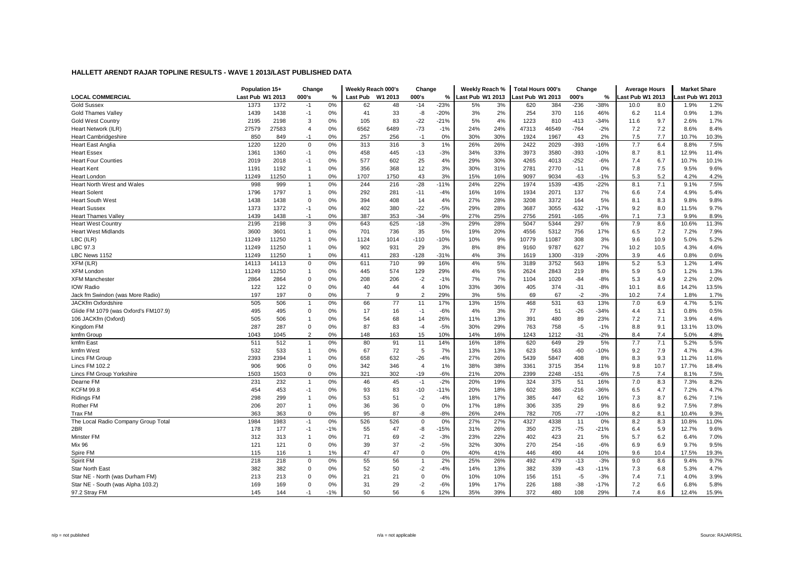|                                      | Population 15+   |       | Change         |       | Weekly Reach 000's |         | Change         |        | Weekly Reach %   |     | <b>Total Hours 000's</b> |       | Change |        | <b>Average Hours</b> |      | <b>Market Share</b> |       |
|--------------------------------------|------------------|-------|----------------|-------|--------------------|---------|----------------|--------|------------------|-----|--------------------------|-------|--------|--------|----------------------|------|---------------------|-------|
| <b>LOCAL COMMERCIAL</b>              | Last Pub W1 2013 |       | 000's          | %     | Last Pub           | W1 2013 | 000's          | %      | Last Pub W1 2013 |     | Last Pub W1 2013         |       | 000's  | $\%$   | ast Pub W1 2013      |      | ast Pub W1 2013     |       |
| <b>Gold Sussex</b>                   | 1373             | 1372  | $-1$           | 0%    | 62                 | 48      | $-14$          | $-23%$ | 5%               | 3%  | 620                      | 384   | $-236$ | $-38%$ | 10.0                 | 8.0  | 1.9%                | 1.2%  |
| <b>Gold Thames Valley</b>            | 1439             | 1438  | $-1$           | 0%    | 41                 | 33      | -8             | $-20%$ | 3%               | 2%  | 254                      | 370   | 116    | 46%    | 6.2                  | 11.4 | 0.9%                | 1.3%  |
| <b>Gold West Country</b>             | 2195             | 2198  | 3              | 0%    | 105                | 83      | $-22$          | $-21%$ | 5%               | 4%  | 1223                     | 810   | $-413$ | $-34%$ | 11.6                 | 9.7  | 2.6%                | 1.7%  |
| Heart Network (ILR)                  | 27579            | 27583 | $\overline{4}$ | 0%    | 6562               | 6489    | $-73$          | $-1%$  | 24%              | 24% | 47313                    | 46549 | $-764$ | $-2%$  | 7.2                  | 7.2  | 8.6%                | 8.4%  |
| <b>Heart Cambridgeshire</b>          | 850              | 849   | $-1$           | 0%    | 257                | 256     | $-1$           | 0%     | 30%              | 30% | 1924                     | 1967  | 43     | 2%     | 7.5                  | 7.7  | 10.7%               | 10.3% |
| <b>Heart East Anglia</b>             | 1220             | 1220  | $\mathbf 0$    | 0%    | 313                | 316     | 3              | 1%     | 26%              | 26% | 2422                     | 2029  | $-393$ | $-16%$ | 7.7                  | 6.4  | 8.8%                | 7.5%  |
| <b>Heart Essex</b>                   | 1361             | 1360  | $-1$           | 0%    | 458                | 445     | $-13$          | $-3%$  | 34%              | 33% | 3973                     | 3580  | $-393$ | $-10%$ | 8.7                  | 8.1  | 12.9%               | 11.4% |
| <b>Heart Four Counties</b>           | 2019             | 2018  | $-1$           | 0%    | 577                | 602     | 25             | 4%     | 29%              | 30% | 4265                     | 4013  | $-252$ | $-6%$  | 7.4                  | 6.7  | 10.7%               | 10.1% |
| <b>Heart Kent</b>                    | 1191             | 1192  | $\mathbf{1}$   | 0%    | 356                | 368     | 12             | 3%     | 30%              | 31% | 2781                     | 2770  | $-11$  | 0%     | 7.8                  | 7.5  | 9.5%                | 9.6%  |
| Heart London                         | 11249            | 11250 | $\overline{1}$ | 0%    | 1707               | 1750    | 43             | 3%     | 15%              | 16% | 9097                     | 9034  | $-63$  | $-1%$  | 5.3                  | 5.2  | 4.2%                | 4.2%  |
| Heart North West and Wales           | 998              | 999   | $\overline{1}$ | 0%    | 244                | 216     | $-28$          | $-11%$ | 24%              | 22% | 1974                     | 1539  | $-435$ | $-22%$ | 8.1                  | 7.1  | 9.1%                | 7.5%  |
| <b>Heart Solent</b>                  | 1796             | 1797  | $\overline{1}$ | 0%    | 292                | 281     | $-11$          | $-4%$  | 16%              | 16% | 1934                     | 2071  | 137    | 7%     | 6.6                  | 7.4  | 4.9%                | 5.4%  |
| <b>Heart South West</b>              | 1438             | 1438  | $\mathbf 0$    | 0%    | 394                | 408     | 14             | 4%     | 27%              | 28% | 3208                     | 3372  | 164    | 5%     | 8.1                  | 8.3  | 9.8%                | 9.8%  |
| <b>Heart Sussex</b>                  | 1373             | 1372  | $-1$           | 0%    | 402                | 380     | $-22$          | $-5%$  | 29%              | 28% | 3687                     | 3055  | $-632$ | $-17%$ | 9.2                  | 8.0  | 11.5%               | 9.7%  |
| <b>Heart Thames Valley</b>           | 1439             | 1438  | $-1$           | 0%    | 387                | 353     | $-34$          | $-9%$  | 27%              | 25% | 2756                     | 2591  | $-165$ | $-6%$  | 7.1                  | 7.3  | 9.9%                | 8.9%  |
| <b>Heart West Country</b>            | 2195             | 2198  | 3              | 0%    | 643                | 625     | $-18$          | $-3%$  | 29%              | 28% | 5047                     | 5344  | 297    | 6%     | 7.9                  | 8.6  | 10.6%               | 11.3% |
| <b>Heart West Midlands</b>           | 3600             | 3601  | $\mathbf{1}$   | 0%    | 701                | 736     | 35             | 5%     | 19%              | 20% | 4556                     | 5312  | 756    | 17%    | 6.5                  | 7.2  | 7.2%                | 7.9%  |
| LBC (ILR)                            | 11249            | 11250 | $\overline{1}$ | 0%    | 1124               | 1014    | $-110$         | $-10%$ | 10%              | 9%  | 10779                    | 11087 | 308    | 3%     | 9.6                  | 10.9 | 5.0%                | 5.2%  |
| LBC 97.3                             | 11249            | 11250 | $\overline{1}$ | 0%    | 902                | 931     | 29             | 3%     | 8%               | 8%  | 9160                     | 9787  | 627    | 7%     | 10.2                 | 10.5 | 4.3%                | 4.6%  |
| LBC News 1152                        | 11249            | 11250 | $\overline{1}$ | 0%    | 411                | 283     | $-128$         | $-31%$ | 4%               | 3%  | 1619                     | 1300  | $-319$ | $-20%$ | 3.9                  | 4.6  | 0.8%                | 0.6%  |
| XFM (ILR)                            | 14113            | 14113 | $\mathbf 0$    | 0%    | 611                | 710     | 99             | 16%    | 4%               | 5%  | 3189                     | 3752  | 563    | 18%    | 5.2                  | 5.3  | 1.2%                | 1.4%  |
| <b>XFM Londor</b>                    | 11249            | 11250 | $\overline{1}$ | 0%    | 445                | 574     | 129            | 29%    | 4%               | 5%  | 2624                     | 2843  | 219    | 8%     | 5.9                  | 5.0  | 1.2%                | 1.3%  |
| <b>XFM Manchester</b>                | 2864             | 2864  | $\mathbf 0$    | 0%    | 208                | 206     | $-2$           | $-1%$  | 7%               | 7%  | 1104                     | 1020  | $-84$  | $-8%$  | 5.3                  | 4.9  | 2.2%                | 2.0%  |
| <b>IOW Radio</b>                     | 122              | 122   | $\Omega$       | 0%    | 40                 | 44      | $\overline{4}$ | 10%    | 33%              | 36% | 405                      | 374   | $-31$  | $-8%$  | 10.1                 | 8.6  | 14.2%               | 13.5% |
| Jack fm Swindon (was More Radio)     | 197              | 197   | $\mathbf 0$    | 0%    | $\overline{7}$     | 9       | $\overline{2}$ | 29%    | 3%               | 5%  | 69                       | 67    | $-2$   | $-3%$  | 10.2                 | 7.4  | 1.8%                | 1.7%  |
| <b>JACKfm Oxfordshire</b>            | 505              | 506   | $\overline{1}$ | 0%    | 66                 | 77      | 11             | 17%    | 13%              | 15% | 468                      | 531   | 63     | 13%    | 7.0                  | 6.9  | 4.7%                | 5.1%  |
| Glide FM 1079 (was Oxford's FM107.9) | 495              | 495   | $\Omega$       | 0%    | 17                 | 16      | $-1$           | $-6%$  | 4%               | 3%  | 77                       | 51    | $-26$  | $-34%$ | 4.4                  | 3.1  | 0.8%                | 0.5%  |
| 106 JACKfm (Oxford)                  | 505              | 506   | -1             | 0%    | 54                 | 68      | 14             | 26%    | 11%              | 13% | 391                      | 480   | 89     | 23%    | 7.2                  | 7.1  | 3.9%                | 4.6%  |
| Kingdom FM                           | 287              | 287   | $\Omega$       | 0%    | 87                 | 83      | $-4$           | $-5%$  | 30%              | 29% | 763                      | 758   | -5     | $-1%$  | 8.8                  | 9.1  | 13.1%               | 13.0% |
| kmfm Group                           | 1043             | 1045  | $\overline{2}$ | 0%    | 148                | 163     | 15             | 10%    | 14%              | 16% | 1243                     | 1212  | $-31$  | $-2%$  | 8.4                  | 7.4  | 5.0%                | 4.8%  |
| kmfm East                            | 511              | 512   | -1             | 0%    | 80                 | 91      | 11             | 14%    | 16%              | 18% | 620                      | 649   | 29     | 5%     | 7.7                  | 7.1  | 5.2%                | 5.5%  |
| kmfm West                            | 532              | 533   | -1             | 0%    | 67                 | 72      | 5              | 7%     | 13%              | 13% | 623                      | 563   | $-60$  | -10%   | 9.2                  | 7.9  | 4.7%                | 4.3%  |
| Lincs FM Group                       | 2393             | 2394  | $\overline{1}$ | 0%    | 658                | 632     | $-26$          | $-4%$  | 27%              | 26% | 5439                     | 5847  | 408    | 8%     | 8.3                  | 9.3  | 11.2%               | 11.6% |
| <b>Lincs FM 102.2</b>                | 906              | 906   | $\mathbf 0$    | 0%    | 342                | 346     | $\overline{4}$ | 1%     | 38%              | 38% | 3361                     | 3715  | 354    | 11%    | 9.8                  | 10.7 | 17.7%               | 18.4% |
| Lincs FM Group Yorkshire             | 1503             | 1503  | $\mathbf 0$    | 0%    | 321                | 302     | $-19$          | $-6%$  | 21%              | 20% | 2399                     | 2248  | $-151$ | $-6%$  | 7.5                  | 7.4  | 8.1%                | 7.5%  |
| Dearne FM                            | 231              | 232   | $\overline{1}$ | 0%    | 46                 | 45      | $-1$           | $-2%$  | 20%              | 19% | 324                      | 375   | 51     | 16%    | 7.0                  | 8.3  | 7.3%                | 8.2%  |
| <b>KCFM 99.8</b>                     | 454              | 453   | $-1$           | 0%    | 93                 | 83      | -10            | $-11%$ | 20%              | 18% | 602                      | 386   | $-216$ | -36%   | 6.5                  | 4.7  | 7.2%                | 4.7%  |
| <b>Ridings FM</b>                    | 298              | 299   | -1             | 0%    | 53                 | 51      | $-2$           | $-4%$  | 18%              | 17% | 385                      | 447   | 62     | 16%    | 7.3                  | 8.7  | 6.2%                | 7.1%  |
| Rother FM                            | 206              | 207   | -1             | 0%    | 36                 | 36      | $\mathbf 0$    | 0%     | 17%              | 18% | 306                      | 335   | 29     | 9%     | 8.6                  | 9.2  | 7.5%                | 7.8%  |
| Trax FM                              | 363              | 363   | $\mathbf 0$    | 0%    | 95                 | 87      | -8             | $-8%$  | 26%              | 24% | 782                      | 705   | $-77$  | $-10%$ | 8.2                  | 8.1  | 10.4%               | 9.3%  |
| The Local Radio Company Group Total  | 1984             | 1983  | $-1$           | 0%    | 526                | 526     | 0              | 0%     | 27%              | 27% | 4327                     | 4338  | 11     | 0%     | 8.2                  | 8.3  | 10.8%               | 11.0% |
| 2BR                                  | 178              | 177   | $-1$           | $-1%$ | 55                 | 47      | -8             | $-15%$ | 31%              | 26% | 350                      | 275   | $-75$  | $-21%$ | 6.4                  | 5.9  | 12.7%               | 9.6%  |
| Minster FM                           | 312              | 313   | -1             | 0%    | 71                 | 69      | $-2$           | $-3%$  | 23%              | 22% | 402                      | 423   | 21     | 5%     | 5.7                  | 6.2  | 6.4%                | 7.0%  |
| <b>Mix 96</b>                        | 121              | 121   | $\mathbf 0$    | 0%    | 39                 | 37      | $-2$           | $-5%$  | 32%              | 30% | 270                      | 254   | $-16$  | $-6%$  | 6.9                  | 6.9  | 9.7%                | 9.5%  |
| Spire FM                             | 115              | 116   |                | 1%    | 47                 | 47      | $\Omega$       | 0%     | 40%              | 41% | 446                      | 490   | 44     | 10%    | 9.6                  | 10.4 | 17.5%               | 19.3% |
| Spirit FM                            | 218              | 218   | $\mathbf 0$    | 0%    | 55                 | 56      | $\overline{1}$ | 2%     | 25%              | 26% | 492                      | 479   | $-13$  | $-3%$  | 9.0                  | 8.6  | 9.4%                | 9.7%  |
| <b>Star North East</b>               | 382              | 382   | $\Omega$       | 0%    | 52                 | 50      | $-2$           | $-4%$  | 14%              | 13% | 382                      | 339   | $-43$  | $-11%$ | 7.3                  | 6.8  | 5.3%                | 4.7%  |
| Star NE - North (was Durham FM)      | 213              | 213   | 0              | 0%    | 21                 | 21      | $\mathbf 0$    | 0%     | 10%              | 10% | 156                      | 151   | -5     | $-3%$  | 7.4                  | 7.1  | 4.0%                | 3.9%  |
| Star NE - South (was Alpha 103.2)    | 169              | 169   | $\Omega$       | 0%    | 31                 | 29      | $-2$           | $-6%$  | 19%              | 17% | 226                      | 188   | $-38$  | $-17%$ | 7.2                  | 6.6  | 6.8%                | 5.8%  |
| 97.2 Stray FM                        | 145              | 144   | $-1$           | $-1%$ | 50                 | 56      | 6              | 12%    | 35%              | 39% | 372                      | 480   | 108    | 29%    | 7.4                  | 8.6  | 12.4%               | 15.9% |
|                                      |                  |       |                |       |                    |         |                |        |                  |     |                          |       |        |        |                      |      |                     |       |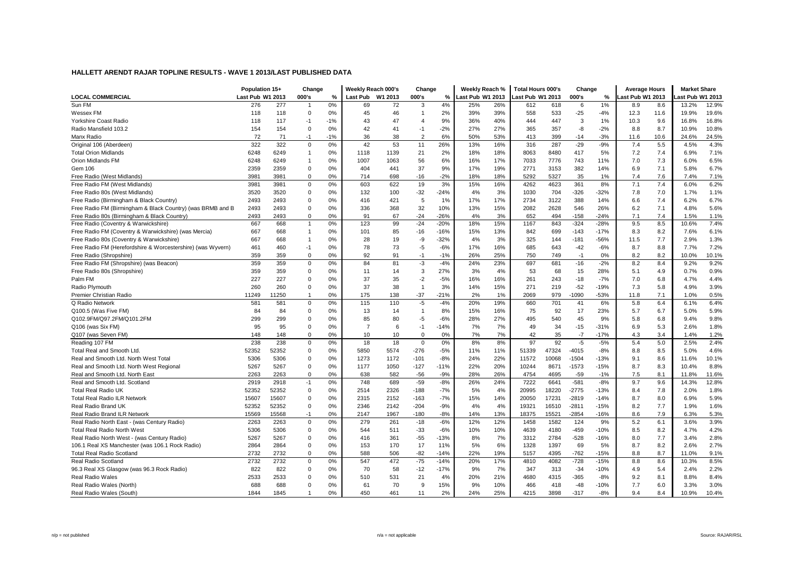|                                                             | Population 15+   |       | Change         |       | Weekly Reach 000's |      | Change         |        | Weekly Reach %   |     | Total Hours 000's |       | Change  |        | <b>Average Hours</b> |      | <b>Market Share</b> |       |
|-------------------------------------------------------------|------------------|-------|----------------|-------|--------------------|------|----------------|--------|------------------|-----|-------------------|-------|---------|--------|----------------------|------|---------------------|-------|
| <b>LOCAL COMMERCIAL</b>                                     | Last Pub W1 2013 |       | 000's          | %     | Last Pub W1 2013   |      | 000's          | %      | Last Pub W1 2013 |     | Last Pub W1 2013  |       | 000's   | %      | ast Pub W1 2013      |      | ast Pub W1 2013     |       |
| Sun FM                                                      | 276              | 277   | -1             | 0%    | 69                 | 72   | 3              | 4%     | 25%              | 26% | 612               | 618   | 6       | 1%     | 8.9                  | 8.6  | 13.2%               | 12.9% |
| Wessex FM                                                   | 118              | 118   | $\mathbf 0$    | 0%    | 45                 | 46   | $\mathbf{1}$   | 2%     | 39%              | 39% | 558               | 533   | $-25$   | $-4%$  | 12.3                 | 11.6 | 19.9%               | 19.6% |
| Yorkshire Coast Radio                                       | 118              | 117   | $-1$           | $-1%$ | 43                 | 47   | 4              | 9%     | 36%              | 40% | 444               | 447   | 3       | 1%     | 10.3                 | 9.6  | 16.8%               | 16.8% |
| Radio Mansfield 103.2                                       | 154              | 154   | $\Omega$       | 0%    | 42                 | 41   | $-1$           | $-2%$  | 27%              | 27% | 365               | 357   | -8      | $-2%$  | 8.8                  | 8.7  | 10.9%               | 10.8% |
| Manx Radio                                                  | 72               | 71    | $-1$           | $-1%$ | 36                 | 38   | 2              | 6%     | 50%              | 53% | 413               | 399   | $-14$   | $-3%$  | 11.6                 | 10.6 | 24.6%               | 24.5% |
| Original 106 (Aberdeen)                                     | 322              | 322   | $\mathbf 0$    | 0%    | 42                 | 53   | 11             | 26%    | 13%              | 16% | 316               | 287   | $-29$   | $-9%$  | 7.4                  | 5.5  | 4.5%                | 4.3%  |
| <b>Total Orion Midlands</b>                                 | 6248             | 6249  | $\mathbf{1}$   | 0%    | 1118               | 1139 | 21             | 2%     | 18%              | 18% | 8063              | 8480  | 417     | 5%     | 7.2                  | 7.4  | 6.9%                | 7.1%  |
| Orion Midlands FM                                           | 6248             | 6249  | $\mathbf{1}$   | 0%    | 1007               | 1063 | 56             | 6%     | 16%              | 17% | 7033              | 7776  | 743     | 11%    | 7.0                  | 7.3  | 6.0%                | 6.5%  |
| Gem 106                                                     | 2359             | 2359  | $\mathbf 0$    | 0%    | 404                | 441  | 37             | 9%     | 17%              | 19% | 2771              | 3153  | 382     | 14%    | 6.9                  | 7.1  | 5.8%                | 6.7%  |
| Free Radio (West Midlands)                                  | 3981             | 3981  | $\mathbf 0$    | 0%    | 714                | 698  | $-16$          | $-2%$  | 18%              | 18% | 5292              | 5327  | 35      | 1%     | 7.4                  | 7.6  | 7.4%                | 7.1%  |
| Free Radio FM (West Midlands)                               | 3981             | 3981  | $\mathbf 0$    | 0%    | 603                | 622  | 19             | 3%     | 15%              | 16% | 4262              | 4623  | 361     | 8%     | 7.1                  | 7.4  | 6.0%                | 6.2%  |
| Free Radio 80s (West Midlands)                              | 3520             | 3520  | $\Omega$       | 0%    | 132                | 100  | $-32$          | $-24%$ | 4%               | 3%  | 1030              | 704   | $-326$  | $-32%$ | 7.8                  | 7.0  | 1.7%                | 1.1%  |
| Free Radio (Birmingham & Black Country)                     | 2493             | 2493  | $\Omega$       | 0%    | 416                | 421  | 5              | 1%     | 17%              | 17% | 2734              | 3122  | 388     | 14%    | 6.6                  | 7.4  | 6.2%                | 6.7%  |
| Free Radio FM (Birmingham & Black Country) (was BRMB and B  | 2493             | 2493  | $\Omega$       | 0%    | 336                | 368  | 32             | 10%    | 13%              | 15% | 2082              | 2628  | 546     | 26%    | 6.2                  | 7.1  | 4.8%                | 5.6%  |
| Free Radio 80s (Birmingham & Black Country)                 | 2493             | 2493  | $\mathbf 0$    | 0%    | 91                 | 67   | $-24$          | $-26%$ | 4%               | 3%  | 652               | 494   | $-158$  | $-24%$ | 7.1                  | 7.4  | 1.5%                | 1.1%  |
| Free Radio (Coventry & Warwickshire)                        | 667              | 668   | $\overline{1}$ | 0%    | 123                | 99   | $-24$          | $-20%$ | 18%              | 15% | 1167              | 843   | $-324$  | $-28%$ | 9.5                  | 8.5  | 10.6%               | 7.4%  |
| Free Radio FM (Coventry & Warwickshire) (was Mercia)        | 667              | 668   | $\mathbf{1}$   | 0%    | 101                | 85   | $-16$          | $-16%$ | 15%              | 13% | 842               | 699   | $-143$  | $-17%$ | 8.3                  | 8.2  | 7.6%                | 6.1%  |
| Free Radio 80s (Coventry & Warwickshire)                    | 667              | 668   | $\mathbf{1}$   | 0%    | 28                 | 19   | -9             | $-32%$ | 4%               | 3%  | 325               | 144   | $-181$  | $-56%$ | 11.5                 | 7.7  | 2.9%                | 1.3%  |
| Free Radio FM (Herefordshire & Worcestershire) (was Wyvern) | 461              | 460   | $-1$           | 0%    | 78                 | 73   | $-5$           | $-6%$  | 17%              | 16% | 685               | 643   | $-42$   | $-6%$  | 8.7                  | 8.8  | 7.7%                | 7.2%  |
| Free Radio (Shropshire)                                     | 359              | 359   | $\Omega$       | 0%    | 92                 | 91   | $-1$           | $-1%$  | 26%              | 25% | 750               | 749   | $-1$    | 0%     | 8.2                  | 8.2  | 10.0%               | 10.1% |
| Free Radio FM (Shropshire) (was Beacon)                     | 359              | 359   | $\mathbf 0$    | 0%    | 84                 | 81   | $-3$           | $-4%$  | 24%              | 23% | 697               | 681   | $-16$   | $-2%$  | 8.2                  | 8.4  | 9.2%                | 9.2%  |
| Free Radio 80s (Shropshire)                                 | 359              | 359   | $\mathbf 0$    | 0%    | 11                 | 14   | 3              | 27%    | 3%               | 4%  | 53                | 68    | 15      | 28%    | 5.1                  | 4.9  | 0.7%                | 0.9%  |
| Palm FM                                                     | 227              | 227   | $\Omega$       | 0%    | 37                 | 35   | $-2$           | $-5%$  | 16%              | 16% | 261               | 243   | $-18$   | $-7%$  | 7.0                  | 6.8  | 4.7%                | 4.4%  |
| Radio Plymouth                                              | 260              | 260   | $\mathbf 0$    | 0%    | 37                 | 38   | $\mathbf{1}$   | 3%     | 14%              | 15% | 271               | 219   | $-52$   | $-19%$ | 7.3                  | 5.8  | 4.9%                | 3.9%  |
| Premier Christian Radio                                     | 11249            | 11250 | $\mathbf{1}$   | 0%    | 175                | 138  | $-37$          | $-21%$ | 2%               | 1%  | 2069              | 979   | -1090   | $-53%$ | 11.8                 | 7.1  | 1.0%                | 0.5%  |
| Q Radio Network                                             | 581              | 581   | $\mathbf 0$    | 0%    | 115                | 110  | $-5$           | $-4%$  | 20%              | 19% | 660               | 701   | 41      | 6%     | 5.8                  | 6.4  | 6.1%                | 6.4%  |
| Q100.5 (Was Five FM)                                        | 84               | 84    | $\mathbf 0$    | 0%    | 13                 | 14   | $\overline{1}$ | 8%     | 15%              | 16% | 75                | 92    | 17      | 23%    | 5.7                  | 6.7  | 5.0%                | 5.9%  |
| Q102.9FM/Q97.2FM/Q101.2FM                                   | 299              | 299   | $\Omega$       | 0%    | 85                 | 80   | $-5$           | $-6%$  | 28%              | 27% | 495               | 540   | 45      | 9%     | 5.8                  | 6.8  | 9.4%                | 9.8%  |
| Q106 (was Six FM)                                           | 95               | 95    | $\Omega$       | 0%    | $\overline{7}$     | 6    | $-1$           | $-14%$ | 7%               | 7%  | 49                | 34    | $-15$   | $-31%$ | 6.9                  | 5.3  | 2.6%                | 1.8%  |
| Q107 (was Seven FM)                                         | 148              | 148   | $\mathbf 0$    | 0%    | 10                 | 10   | $\mathbf 0$    | 0%     | 7%               | 7%  | 42                | 35    | $-7$    | $-17%$ | 4.3                  | 3.4  | 1.4%                | 1.2%  |
| Reading 107 FM                                              | 238              | 238   | $\mathbf 0$    | 0%    | 18                 | 18   | $\mathbf 0$    | 0%     | 8%               | 8%  | 97                | 92    | $-5$    | $-5%$  | 5.4                  | 5.0  | 2.5%                | 2.4%  |
| Total Real and Smooth Ltd.                                  | 52352            | 52352 | $\Omega$       | 0%    | 5850               | 5574 | $-276$         | $-5%$  | 11%              | 11% | 51339             | 47324 | $-4015$ | $-8%$  | 8.8                  | 8.5  | 5.0%                | 4.6%  |
| Real and Smooth Ltd. North West Total                       | 5306             | 5306  | $\Omega$       | 0%    | 1273               | 1172 | $-101$         | $-8%$  | 24%              | 22% | 11572             | 10068 | $-1504$ | $-13%$ | 9.1                  | 8.6  | 11.6%               | 10.1% |
| Real and Smooth Ltd. North West Regional                    | 5267             | 5267  | $\Omega$       | 0%    | 1177               | 1050 | $-127$         | $-11%$ | 22%              | 20% | 10244             | 8671  | $-1573$ | $-15%$ | 8.7                  | 8.3  | 10.4%               | 8.8%  |
| Real and Smooth Ltd. North East                             | 2263             | 2263  | $\mathbf 0$    | 0%    | 638                | 582  | $-56$          | $-9%$  | 28%              | 26% | 4754              | 4695  | $-59$   | $-1%$  | 7.5                  | 8.1  | 11.8%               | 11.6% |
| Real and Smooth Ltd. Scotland                               | 2919             | 2918  | $-1$           | 0%    | 748                | 689  | $-59$          | $-8%$  | 26%              | 24% | 7222              | 6641  | $-581$  | $-8%$  | 9.7                  | 9.6  | 14.3%               | 12.8% |
| <b>Total Real Radio UK</b>                                  | 52352            | 52352 | $\Omega$       | 0%    | 2514               | 2326 | $-188$         | $-7%$  | 5%               | 4%  | 20995             | 18220 | $-2775$ | $-13%$ | 8.4                  | 7.8  | 2.0%                | 1.8%  |
| <b>Total Real Radio ILR Network</b>                         | 15607            | 15607 | $\mathbf 0$    | 0%    | 2315               | 2152 | $-163$         | $-7%$  | 15%              | 14% | 20050             | 17231 | $-2819$ | $-14%$ | 8.7                  | 8.0  | 6.9%                | 5.9%  |
| Real Radio Brand UK                                         | 52352            | 52352 | $\Omega$       | 0%    | 2346               | 2142 | $-204$         | $-9%$  | 4%               | 4%  | 19321             | 16510 | $-2811$ | $-15%$ | 8.2                  | 7.7  | 1.9%                | 1.6%  |
| Real Radio Brand ILR Network                                | 15569            | 15568 | $-1$           | 0%    | 2147               | 1967 | $-180$         | $-8%$  | 14%              | 13% | 18375             | 15521 | $-2854$ | $-16%$ | 8.6                  | 7.9  | 6.3%                | 5.3%  |
| Real Radio North East - (was Century Radio)                 | 2263             | 2263  | $\mathbf 0$    | 0%    | 279                | 261  | $-18$          | $-6%$  | 12%              | 12% | 1458              | 1582  | 124     | 9%     | 5.2                  | 6.1  | 3.6%                | 3.9%  |
| <b>Total Real Radio North West</b>                          | 5306             | 5306  | $\Omega$       | 0%    | 544                | 511  | $-33$          | $-6%$  | 10%              | 10% | 4639              | 4180  | $-459$  | $-10%$ | 8.5                  | 8.2  | 4.7%                | 4.2%  |
| Real Radio North West - (was Century Radio)                 | 5267             | 5267  | $\Omega$       | 0%    | 416                | 361  | $-55$          | $-13%$ | 8%               | 7%  | 3312              | 2784  | $-528$  | $-16%$ | 8.0                  | 7.7  | 3.4%                | 2.8%  |
| 106.1 Real XS Manchester (was 106.1 Rock Radio)             | 2864             | 2864  | $\Omega$       | 0%    | 153                | 170  | 17             | 11%    | 5%               | 6%  | 1328              | 1397  | 69      | 5%     | 8.7                  | 8.2  | 2.6%                | 2.7%  |
| <b>Total Real Radio Scotland</b>                            | 2732             | 2732  | $\mathbf 0$    | 0%    | 588                | 506  | $-82$          | $-14%$ | 22%              | 19% | 5157              | 4395  | $-762$  | $-15%$ | 8.8                  | 8.7  | 11.0%               | 9.1%  |
| Real Radio Scotland                                         | 2732             | 2732  | $\mathbf 0$    | 0%    | 547                | 472  | $-75$          | $-14%$ | 20%              | 17% | 4810              | 4082  | $-728$  | $-15%$ | 8.8                  | 8.6  | 10.3%               | 8.5%  |
| 96.3 Real XS Glasgow (was 96.3 Rock Radio)                  | 822              | 822   | $\Omega$       | 0%    | 70                 | 58   | $-12$          | $-17%$ | 9%               | 7%  | 347               | 313   | $-34$   | $-10%$ | 4.9                  | 5.4  | 2.4%                | 2.2%  |
| Real Radio Wales                                            | 2533             | 2533  | $\Omega$       | 0%    | 510                | 531  | 21             | 4%     | 20%              | 21% | 4680              | 4315  | $-365$  | $-8%$  | 9.2                  | 8.1  | 8.8%                | 8.4%  |
| Real Radio Wales (North)                                    | 688              | 688   | $\Omega$       | 0%    | 61                 | 70   | 9              | 15%    | 9%               | 10% | 466               | 418   | $-48$   | $-10%$ | 7.7                  | 6.0  | 3.3%                | 3.0%  |
| Real Radio Wales (South)                                    | 1844             | 1845  |                | 0%    | 450                | 461  | 11             | 2%     | 24%              | 25% | 4215              | 3898  | $-317$  | $-8%$  | 9.4                  | 8.4  | 10.9%               | 10.4% |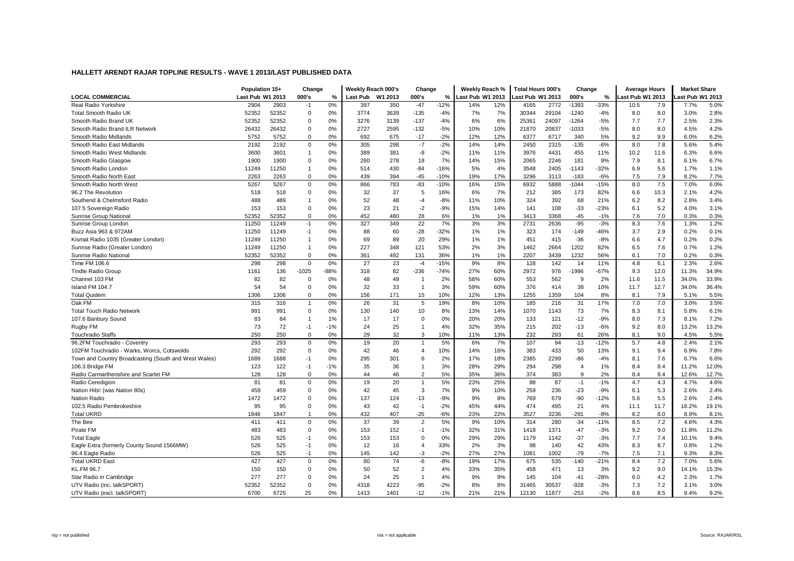|                                                      | Population 15+   |       | Change         |        | Weekly Reach 000's |         | Change         |        | Weekly Reach %   |     | <b>Total Hours 000's</b> |       | Change         |        | <b>Average Hours</b> |      | <b>Market Share</b> |       |
|------------------------------------------------------|------------------|-------|----------------|--------|--------------------|---------|----------------|--------|------------------|-----|--------------------------|-------|----------------|--------|----------------------|------|---------------------|-------|
| <b>LOCAL COMMERCIAL</b>                              | Last Pub W1 2013 |       | 000's          | %      | Last Pub           | W1 2013 | 000's          | ℅      | Last Pub W1 2013 |     | ast Pub W1 2013          |       | 000's          | %      | ast Pub W1 2013      |      | ast Pub W1 2013     |       |
| Real Radio Yorkshire                                 | 2904             | 2903  | $-1$           | 0%     | 397                | 350     | $-47$          | $-12%$ | 14%              | 12% | 4165                     | 2772  | $-1393$        | $-33%$ | 10.5                 | 7.9  | 7.7%                | 5.0%  |
| <b>Total Smooth Radio UK</b>                         | 52352            | 52352 | $\mathbf 0$    | 0%     | 3774               | 3639    | $-135$         | $-4%$  | 7%               | 7%  | 30344                    | 29104 | $-1240$        | $-4%$  | 8.0                  | 8.0  | 3.0%                | 2.8%  |
| Smooth Radio Brand UK                                | 52352            | 52352 | $\mathbf 0$    | 0%     | 3276               | 3139    | $-137$         | $-4%$  | 6%               | 6%  | 25361                    | 24097 | $-1264$        | $-5%$  | 7.7                  | 7.7  | 2.5%                | 2.3%  |
| Smooth Radio Brand ILR Network                       | 26432            | 26432 | $\mathbf 0$    | 0%     | 2727               | 2595    | $-132$         | $-5%$  | 10%              | 10% | 21870                    | 20837 | $-1033$        | $-5%$  | 8.0                  | 8.0  | 4.5%                | 4.2%  |
| Smooth Radio Midlands                                | 5752             | 5752  | $\mathbf 0$    | 0%     | 692                | 675     | $-17$          | $-2%$  | 12%              | 12% | 6377                     | 6717  | 340            | 5%     | 9.2                  | 9.9  | 6.0%                | 6.2%  |
| Smooth Radio East Midlands                           | 2192             | 2192  | $\mathbf 0$    | 0%     | 305                | 298     | $-7$           | $-2%$  | 14%              | 14% | 2450                     | 2315  | $-135$         | $-6%$  | 8.0                  | 7.8  | 5.6%                | 5.4%  |
| Smooth Radio West Midlands                           | 3600             | 3601  | $\overline{1}$ | 0%     | 389                | 381     | -8             | $-2%$  | 11%              | 11% | 3976                     | 4431  | 455            | 11%    | 10.2                 | 11.6 | 6.3%                | 6.6%  |
| Smooth Radio Glasgow                                 | 1900             | 1900  | $\mathbf 0$    | 0%     | 260                | 278     | 18             | 7%     | 14%              | 15% | 2065                     | 2246  | 181            | 9%     | 7.9                  | 8.1  | 6.1%                | 6.7%  |
| Smooth Radio London                                  | 11249            | 11250 |                | 0%     | 514                | 430     | $-84$          | $-16%$ | 5%               | 4%  | 3548                     | 2405  | $-1143$        | $-32%$ | 6.9                  | 5.6  | 1.7%                | 1.1%  |
| Smooth Radio North East                              | 2263             | 2263  | $\mathbf 0$    | 0%     | 439                | 394     | $-45$          | $-10%$ | 19%              | 17% | 3296                     | 3113  | $-183$         | $-6%$  | 7.5                  | 7.9  | 8.2%                | 7.7%  |
| Smooth Radio North West                              | 5267             | 5267  | $\mathbf 0$    | 0%     | 866                | 783     | $-83$          | $-10%$ | 16%              | 15% | 6932                     | 5888  | $-1044$        | $-15%$ | 8.0                  | 7.5  | 7.0%                | 6.0%  |
| 96.2 The Revolution                                  | 518              | 518   | 0              | 0%     | 32                 | 37      | 5              | 16%    | 6%               | 7%  | 212                      | 385   | 173            | 82%    | 6.6                  | 10.3 | 2.1%                | 4.2%  |
| Southend & Chelmsford Radio                          | 488              | 489   |                | 0%     | 52                 | 48      | $-4$           | $-8%$  | 11%              | 10% | 324                      | 392   | 68             | 21%    | 6.2                  | 8.2  | 2.8%                | 3.4%  |
| 107.5 Sovereign Radio                                | 153              | 153   | 0              | 0%     | 23                 | 21      | $-2$           | $-9%$  | 15%              | 14% | 141                      | 108   | $-33$          | $-23%$ | 6.1                  | 5.2  | 4.0%                | 3.1%  |
| Sunrise Group National                               | 52352            | 52352 | $\mathbf 0$    | 0%     | 452                | 480     | 28             | 6%     | 1%               | 1%  | 3413                     | 3368  | $-45$          | $-1%$  | 7.6                  | 7.0  | 0.3%                | 0.3%  |
| Sunrise Group London                                 | 11250            | 11249 | $-1$           | 0%     | 327                | 349     | 22             | 7%     | 3%               | 3%  | 2731                     | 2636  | $-95$          | $-3%$  | 8.3                  | 7.6  | 1.3%                | 1.2%  |
| Buzz Asia 963 & 972AM                                | 11250            | 11249 | $-1$           | 0%     | 88                 | 60      | $-28$          | $-32%$ | 1%               | 1%  | 323                      | 174   | $-149$         | $-46%$ | 3.7                  | 2.9  | 0.2%                | 0.1%  |
| Kismat Radio 1035 (Greater London)                   | 11249            | 11250 | $\overline{1}$ | 0%     | 69                 | 89      | 20             | 29%    | 1%               | 1%  | 451                      | 415   | $-36$          | $-8%$  | 6.6                  | 4.7  | 0.2%                | 0.2%  |
| Sunrise Radio (Greater London)                       | 11249            | 11250 | $\overline{1}$ | 0%     | 227                | 348     | 121            | 53%    | 2%               | 3%  | 1462                     | 2664  | 1202           | 82%    | 6.5                  | 7.6  | 0.7%                | 1.2%  |
| Sunrise Radio National                               | 52352            | 52352 | $\mathbf 0$    | 0%     | 361                | 492     | 131            | 36%    | 1%               | 1%  | 2207                     | 3439  | 1232           | 56%    | 6.1                  | 7.0  | 0.2%                | 0.3%  |
| Time FM 106.6                                        | 298              | 298   | $\mathbf 0$    | 0%     | 27                 | 23      | $-4$           | $-15%$ | 9%               | 8%  | 128                      | 142   | 14             | 11%    | 4.8                  | 6.1  | 2.3%                | 2.6%  |
| <b>Tindle Radio Group</b>                            | 1161             | 136   | $-1025$        | $-88%$ | 318                | 82      | $-236$         | $-74%$ | 27%              | 60% | 2972                     | 976   | $-1996$        | $-67%$ | 9.3                  | 12.0 | 11.3%               | 34.9% |
| Channel 103 FM                                       | 82               | 82    | $\mathbf 0$    | 0%     | 48                 | 49      | $\overline{1}$ | 2%     | 58%              | 60% | 553                      | 562   | 9              | 2%     | 11.6                 | 11.5 | 34.0%               | 33.9% |
| Island FM 104.7                                      | 54               | 54    | $\mathbf 0$    | 0%     | 32                 | 33      | -1             | 3%     | 59%              | 60% | 376                      | 414   | 38             | 10%    | 11.7                 | 12.7 | 34.0%               | 36.4% |
| <b>Total Quidem</b>                                  | 1306             | 1306  | $\mathbf 0$    | 0%     | 156                | 171     | 15             | 10%    | 12%              | 13% | 1255                     | 1359  | 104            | 8%     | 8.1                  | 7.9  | 5.1%                | 5.5%  |
| Oak FM                                               | 315              | 316   | $\overline{1}$ | 0%     | 26                 | 31      | 5              | 19%    | 8%               | 10% | 185                      | 216   | 31             | 17%    | 7.0                  | 7.0  | 3.0%                | 3.5%  |
| <b>Total Touch Radio Network</b>                     | 991              | 991   | $\mathbf 0$    | 0%     | 130                | 140     | 10             | 8%     | 13%              | 14% | 1070                     | 1143  | 73             | 7%     | 8.3                  | 8.1  | 5.8%                | 6.1%  |
| 107.6 Banbury Sound                                  | 83               | 84    | $\overline{1}$ | 1%     | 17                 | 17      | $\mathbf 0$    | 0%     | 20%              | 20% | 133                      | 121   | $-12$          | $-9%$  | 8.0                  | 7.3  | 8.1%                | 7.2%  |
| Rugby FM                                             | 73               | 72    | $-1$           | $-1%$  | 24                 | 25      | $\overline{1}$ | 4%     | 32%              | 35% | 215                      | 202   | $-13$          | $-6%$  | 9.2                  | 8.0  | 13.2%               | 13.2% |
| <b>Touchradio Staffs</b>                             | 250              | 250   | $\mathbf 0$    | 0%     | 29                 | 32      | 3              | 10%    | 11%              | 13% | 232                      | 293   | 61             | 26%    | 8.1                  | 9.0  | 4.5%                | 5.5%  |
| 96.2FM Touchradio - Coventry                         | 293              | 293   | $\mathbf 0$    | 0%     | 19                 | 20      | $\overline{1}$ | 5%     | 6%               | 7%  | 107                      | 94    | $-13$          | $-12%$ | 5.7                  | 4.8  | 2.4%                | 2.1%  |
| 102FM Touchradio - Warks, Worcs, Cotswolds           | 292              | 292   | $\mathbf 0$    | 0%     | 42                 | 46      | 4              | 10%    | 14%              | 16% | 383                      | 433   | 50             | 13%    | 9.1                  | 9.4  | 6.9%                | 7.8%  |
| Town and Country Broadcasting (South and West Wales) | 1689             | 1688  | $-1$           | 0%     | 295                | 301     | 6              | 2%     | 17%              | 18% | 2385                     | 2299  | $-86$          | $-4%$  | 8.1                  | 7.6  | 6.7%                | 6.6%  |
| 106.3 Bridge FM                                      | 123              | 122   | $-1$           | $-1%$  | 35                 | 36      | $\mathbf{1}$   | 3%     | 28%              | 29% | 294                      | 298   | $\overline{4}$ | 1%     | 8.4                  | 8.4  | 11.2%               | 12.0% |
| Radio Carmarthenshire and Scarlet FM                 | 128              | 128   | $\mathbf 0$    | 0%     | 44                 | 46      | $\overline{2}$ | 5%     | 35%              | 36% | 374                      | 383   | 9              | 2%     | 8.4                  | 8.4  | 12.6%               | 12.7% |
| Radio Ceredigion                                     | 81               | 81    | $\mathbf 0$    | 0%     | 19                 | 20      | $\mathbf{1}$   | 5%     | 23%              | 25% | 88                       | 87    | $-1$           | $-1%$  | 4.7                  | 4.3  | 4.7%                | 4.6%  |
| Nation Hits! (was Nation 80s)                        | 459              | 459   | $\Omega$       | 0%     | 42                 | 45      | 3              | 7%     | 9%               | 10% | 259                      | 236   | $-23$          | $-9%$  | 6.1                  | 5.3  | 2.6%                | 2.4%  |
| <b>Nation Radio</b>                                  | 1472             | 1472  | 0              | 0%     | 137                | 124     | $-13$          | $-9%$  | 9%               | 8%  | 769                      | 679   | $-90$          | $-12%$ | 5.6                  | 5.5  | 2.6%                | 2.4%  |
| 102.5 Radio Pembrokeshire                            | 95               | 95    | $\Omega$       | 0%     | 43                 | 42      | $-1$           | $-2%$  | 45%              | 44% | 474                      | 495   | 21             | 4%     | 11.1                 | 11.7 | 18.2%               | 19.1% |
| <b>Total UKRD</b>                                    | 1846             | 1847  | $\overline{1}$ | 0%     | 432                | 407     | $-25$          | $-6%$  | 23%              | 22% | 3527                     | 3236  | $-291$         | $-8%$  | 8.2                  | 8.0  | 8.9%                | 8.1%  |
| The Bee                                              | 411              | 411   | $\mathbf 0$    | 0%     | 37                 | 39      | $\overline{2}$ | 5%     | 9%               | 10% | 314                      | 280   | $-34$          | $-11%$ | 8.5                  | 7.2  | 4.6%                | 4.3%  |
| Pirate FM                                            | 483              | 483   | $\mathbf 0$    | 0%     | 153                | 152     | $-1$           | $-1%$  | 32%              | 31% | 1418                     | 1371  | -47            | $-3%$  | 9.2                  | 9.0  | 11.8%               | 11.2% |
| <b>Total Eagle</b>                                   | 526              | 525   | $-1$           | 0%     | 153                | 153     | $\mathbf 0$    | 0%     | 29%              | 29% | 1179                     | 1142  | $-37$          | $-3%$  | 7.7                  | 7.4  | 10.1%               | 9.4%  |
| Eagle Extra (formerly County Sound 1566MW)           | 526              | 525   | $-1$           | 0%     | 12                 | 16      | $\overline{4}$ | 33%    | 2%               | 3%  | 98                       | 140   | 42             | 43%    | 8.3                  | 8.7  | 0.8%                | 1.2%  |
| 96.4 Eagle Radio                                     | 526              | 525   | $-1$           | 0%     | 145                | 142     | $-3$           | $-2%$  | 27%              | 27% | 1081                     | 1002  | $-79$          | $-7%$  | 7.5                  | 7.1  | 9.3%                | 8.3%  |
| <b>Total UKRD East</b>                               | 427              | 427   | $\mathbf 0$    | 0%     | 80                 | 74      | -6             | $-8%$  | 19%              | 17% | 675                      | 535   | $-140$         | $-21%$ | 8.4                  | 7.2  | 7.0%                | 5.6%  |
| <b>KL.FM 96.7</b>                                    | 150              | 150   | $\mathbf 0$    | 0%     | 50                 | 52      | $\overline{2}$ | 4%     | 33%              | 35% | 458                      | 471   | 13             | 3%     | 9.2                  | 9.0  | 14.1%               | 15.3% |
| Star Radio in Cambridge                              | 277              | 277   | $\Omega$       | 0%     | 24                 | 25      | $\overline{1}$ | 4%     | 9%               | 9%  | 145                      | 104   | $-41$          | $-28%$ | 6.0                  | 4.2  | 2.3%                | 1.7%  |
| UTV Radio (inc. talkSPORT)                           | 52352            | 52352 | $\Omega$       | 0%     | 4318               | 4223    | $-95$          | $-2%$  | 8%               | 8%  | 31465                    | 30537 | $-928$         | $-3%$  | 7.3                  | 7.2  | 3.1%                | 3.0%  |
| UTV Radio (excl. talkSPORT)                          | 6700             | 6725  | 25             | 0%     | 1413               | 1401    | $-12$          | $-1%$  | 21%              | 21% | 12130                    | 11877 | $-253$         | $-2%$  | 8.6                  | 8.5  | 9.4%                | 9.2%  |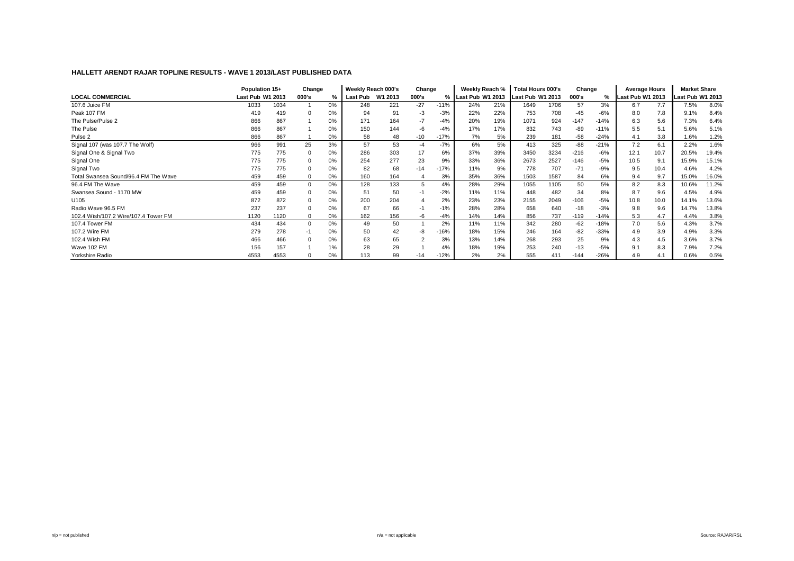|                                      | Population 15+   |      | Change   |       | Weekly Reach 000's |         | Change |        | Weekly Reach %     |     | Total Hours 000's |      | Change |        | <b>Average Hours</b> |      | <b>Market Share</b> |       |
|--------------------------------------|------------------|------|----------|-------|--------------------|---------|--------|--------|--------------------|-----|-------------------|------|--------|--------|----------------------|------|---------------------|-------|
| <b>LOCAL COMMERCIAL</b>              | Last Pub W1 2013 |      | 000's    | %     | Last Pub           | W1 2013 | 000's  |        | % Last Pub W1 2013 |     | Last Pub W1 2013  |      | 000's  | %      | Last Pub W1 2013     |      | Last Pub W1 2013    |       |
| 107.6 Juice FM                       | 1033             | 1034 |          | 0%    | 248                | 221     | $-27$  | $-11%$ | 24%                | 21% | 1649              | 1706 | 57     | 3%     | 6.7                  | 7.7  | 7.5%                | 8.0%  |
| Peak 107 FM                          | 419              | 419  |          | 0%    | 94                 | 91      | $-3$   | $-3%$  | 22%                | 22% | 753               | 708  | -45    | $-6%$  | 8.0                  | 7.8  | 9.1%                | 8.4%  |
| The Pulse/Pulse 2                    | 866              | 867  |          | 0%    | 171                | 164     | $-7$   | $-4%$  | 20%                | 19% | 1071              | 924  | $-147$ | $-14%$ | 6.3                  | 5.6  | 7.3%                | 6.4%  |
| The Pulse                            | 866              | 867  |          | 0%    | 150                | 144     | -6     | $-4%$  | 17%                | 17% | 832               | 743  | -89    | $-11%$ | 5.5                  | 5.1  | 5.6%                | 5.1%  |
| Pulse <sub>2</sub>                   | 866              | 867  |          | 0%    | 58                 | 48      | $-10$  | $-17%$ | 7%                 | 5%  | 239               | 181  | $-58$  | $-24%$ | 4.1                  | 3.8  | 1.6%                | 1.2%  |
| Signal 107 (was 107.7 The Wolf)      | 966              | 991  | 25       | 3%    | 57                 | 53      | $-4$   | $-7%$  | 6%                 | 5%  | 413               | 325  | $-88$  | $-21%$ | 7.2                  | 6.1  | 2.2%                | 1.6%  |
| Signal One & Signal Two              | 775              | 775  |          | 0%    | 286                | 303     | 17     | 6%     | 37%                | 39% | 3450              | 3234 | $-216$ | $-6%$  | 12.1                 | 10.7 | 20.5%               | 19.4% |
| Signal One                           | 775              | 775  |          | 0%    | 254                | 277     | 23     | 9%     | 33%                | 36% | 2673              | 2527 | $-146$ | $-5%$  | 10.5                 | 9.1  | 15.9%               | 15.1% |
| Signal Two                           | 775              | 775  |          | 0%    | 82                 | 68      | $-14$  | $-17%$ | 11%                | 9%  | 778               | 707  | $-71$  | $-9%$  | 9.5                  | 10.4 | 4.6%                | 4.2%  |
| Total Swansea Sound/96.4 FM The Wave | 459              | 459  |          | 0%    | 160                | 164     | 4      | 3%     | 35%                | 36% | 1503              | 1587 | 84     | 6%     | 9.4                  | 9.7  | 15.0%               | 16.0% |
| 96.4 FM The Wave                     | 459              | 459  | $\Omega$ | 0%    | 128                | 133     | 5      | 4%     | 28%                | 29% | 1055              | 1105 | 50     | 5%     | 8.2                  | 8.3  | 10.6%               | 11.2% |
| Swansea Sound - 1170 MW              | 459              | 459  | $\Omega$ | 0%    | 51                 | 50      | $-1$   | $-2%$  | 11%                | 11% | 448               | 482  | 34     | 8%     | 8.7                  | 9.6  | 4.5%                | 4.9%  |
| U105                                 | 872              | 872  |          | 0%    | 200                | 204     |        | 2%     | 23%                | 23% | 2155              | 2049 | $-106$ | $-5%$  | 10.8                 | 10.0 | 14.1%               | 13.6% |
| Radio Wave 96.5 FM                   | 237              | 237  |          | 0%    | 67                 | 66      | $-1$   | $-1%$  | 28%                | 28% | 658               | 640  | -18    | $-3%$  | 9.8                  | 9.6  | 14.7%               | 13.8% |
| 102.4 Wish/107.2 Wire/107.4 Tower FM | 1120             | 1120 | $\Omega$ | $0\%$ | 162                | 156     | -6     | $-4%$  | 14%                | 14% | 856               | 737  | $-119$ | $-14%$ | 5.3                  | 4.7  | 4.4%                | 3.8%  |
| 107.4 Tower FM                       | 434              | 434  |          | 0%    | 49                 | 50      |        | 2%     | 11%                | 11% | 342               | 280  | $-62$  | $-18%$ | 7.0                  | 5.6  | 4.3%                | 3.7%  |
| 107.2 Wire FM                        | 279              | 278  | -1       | 0%    | 50                 | 42      | -8     | $-16%$ | 18%                | 15% | 246               | 164  | $-82$  | $-33%$ | 4.9                  | 3.9  | 4.9%                | 3.3%  |
| 102.4 Wish FM                        | 466              | 466  |          | 0%    | 63                 | 65      |        | 3%     | 13%                | 14% | 268               | 293  | 25     | 9%     | 4.3                  | 4.5  | 3.6%                | 3.7%  |
| Wave 102 FM                          | 156              | 157  |          | 1%    | 28                 | 29      |        | 4%     | 18%                | 19% | 253               | 240  | $-13$  | $-5%$  | 9.1                  | 8.3  | 7.9%                | 7.2%  |
| Yorkshire Radio                      | 4553             | 4553 |          | 0%    | 113                | 99      | $-14$  | $-12%$ | 2%                 | 2%  | 555               | 411  | $-144$ | $-26%$ | 4.9                  | 4.1  | 0.6%                | 0.5%  |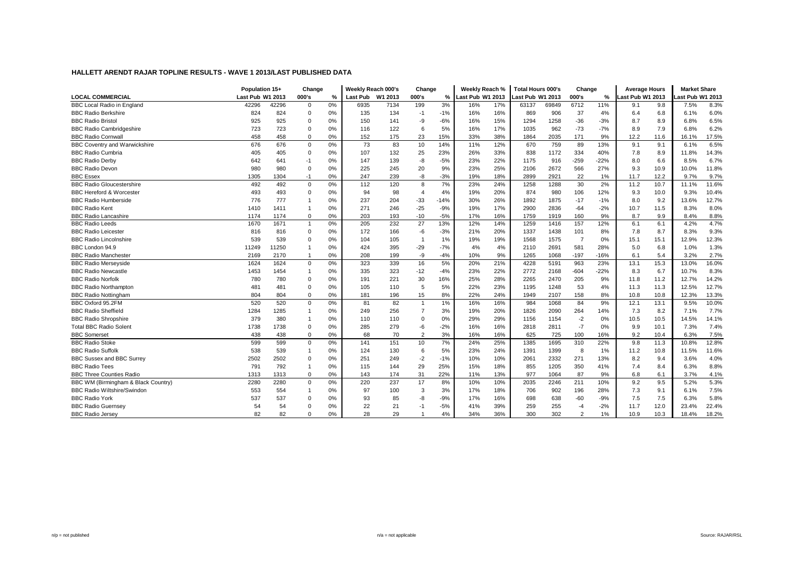|                                      | Population 15+   |       | Change         |               | Weekly Reach 000's |         | Change         |        | Weekly Reach %   |     | <b>Total Hours 000's</b> |       | Change         |        | <b>Average Hours</b> |      | <b>Market Share</b> |       |
|--------------------------------------|------------------|-------|----------------|---------------|--------------------|---------|----------------|--------|------------------|-----|--------------------------|-------|----------------|--------|----------------------|------|---------------------|-------|
| <b>LOCAL COMMERCIAL</b>              | Last Pub W1 2013 |       | 000's          | $\frac{0}{2}$ | <b>Last Pub</b>    | W1 2013 | 000's          | %      | Last Pub W1 2013 |     | Last Pub W1 2013         |       | 000's          | %      | ast Pub W1 2013      |      | ast Pub W1 2013-    |       |
| <b>BBC Local Radio in England</b>    | 42296            | 42296 | $\mathbf 0$    | 0%            | 6935               | 7134    | 199            | 3%     | 16%              | 17% | 63137                    | 69849 | 6712           | 11%    | 9.1                  | 9.8  | 7.5%                | 8.3%  |
| <b>BBC Radio Berkshire</b>           | 824              | 824   | $\mathbf 0$    | 0%            | 135                | 134     | $-1$           | $-1%$  | 16%              | 16% | 869                      | 906   | 37             | 4%     | 6.4                  | 6.8  | 6.1%                | 6.0%  |
| <b>BBC Radio Bristol</b>             | 925              | 925   | $\Omega$       | 0%            | 150                | 141     | -9             | $-6%$  | 16%              | 15% | 1294                     | 1258  | $-36$          | $-3%$  | 8.7                  | 8.9  | 6.8%                | 6.5%  |
| <b>BBC Radio Cambridgeshire</b>      | 723              | 723   | $\mathbf 0$    | 0%            | 116                | 122     | 6              | 5%     | 16%              | 17% | 1035                     | 962   | $-73$          | $-7%$  | 8.9                  | 7.9  | 6.8%                | 6.2%  |
| <b>BBC Radio Cornwall</b>            | 458              | 458   | $\Omega$       | 0%            | 152                | 175     | 23             | 15%    | 33%              | 38% | 1864                     | 2035  | 171            | 9%     | 12.2                 | 11.6 | 16.1%               | 17.5% |
| <b>BBC Coventry and Warwickshire</b> | 676              | 676   | $\mathbf 0$    | 0%            | 73                 | 83      | 10             | 14%    | 11%              | 12% | 670                      | 759   | 89             | 13%    | 9.1                  | 9.1  | 6.1%                | 6.5%  |
| <b>BBC Radio Cumbria</b>             | 405              | 405   | $\mathbf 0$    | 0%            | 107                | 132     | 25             | 23%    | 26%              | 33% | 838                      | 1172  | 334            | 40%    | 7.8                  | 8.9  | 11.8%               | 14.3% |
| <b>BBC Radio Derby</b>               | 642              | 641   | $-1$           | 0%            | 147                | 139     | -8             | $-5%$  | 23%              | 22% | 1175                     | 916   | $-259$         | $-22%$ | 8.0                  | 6.6  | 8.5%                | 6.7%  |
| <b>BBC Radio Devon</b>               | 980              | 980   | $\Omega$       | 0%            | 225                | 245     | 20             | 9%     | 23%              | 25% | 2106                     | 2672  | 566            | 27%    | 9.3                  | 10.9 | 10.0%               | 11.8% |
| <b>BBC Essex</b>                     | 1305             | 1304  | $-1$           | 0%            | 247                | 239     | -8             | $-3%$  | 19%              | 18% | 2899                     | 2921  | 22             | 1%     | 11.7                 | 12.2 | 9.7%                | 9.7%  |
| <b>BBC Radio Gloucestershire</b>     | 492              | 492   | $\mathbf 0$    | 0%            | 112                | 120     | 8              | 7%     | 23%              | 24% | 1258                     | 1288  | 30             | 2%     | 11.2                 | 10.7 | 11.1%               | 11.6% |
| <b>BBC Hereford &amp; Worcester</b>  | 493              | 493   | $\mathbf 0$    | 0%            | 94                 | 98      | 4              | 4%     | 19%              | 20% | 874                      | 980   | 106            | 12%    | 9.3                  | 10.0 | 9.3%                | 10.4% |
| <b>BBC Radio Humberside</b>          | 776              | 777   |                | 0%            | 237                | 204     | $-33$          | $-14%$ | 30%              | 26% | 1892                     | 1875  | $-17$          | $-1%$  | 8.0                  | 9.2  | 13.6%               | 12.7% |
| <b>BBC Radio Kent</b>                | 1410             | 1411  |                | 0%            | 271                | 246     | $-25$          | $-9%$  | 19%              | 17% | 2900                     | 2836  | $-64$          | $-2%$  | 10.7                 | 11.5 | 8.3%                | 8.0%  |
| <b>BBC Radio Lancashire</b>          | 1174             | 1174  | $\mathbf 0$    | 0%            | 203                | 193     | $-10$          | $-5%$  | 17%              | 16% | 1759                     | 1919  | 160            | 9%     | 8.7                  | 9.9  | 8.4%                | 8.8%  |
| <b>BBC Radio Leeds</b>               | 1670             | 1671  | $\overline{1}$ | 0%            | 205                | 232     | 27             | 13%    | 12%              | 14% | 1259                     | 1416  | 157            | 12%    | 6.1                  | 6.1  | 4.2%                | 4.7%  |
| <b>BBC Radio Leicester</b>           | 816              | 816   | $\mathbf 0$    | 0%            | 172                | 166     | $-6$           | $-3%$  | 21%              | 20% | 1337                     | 1438  | 101            | 8%     | 7.8                  | 8.7  | 8.3%                | 9.3%  |
| <b>BBC Radio Lincolnshire</b>        | 539              | 539   | $\Omega$       | 0%            | 104                | 105     | $\overline{1}$ | 1%     | 19%              | 19% | 1568                     | 1575  | $\overline{7}$ | 0%     | 15.1                 | 15.1 | 12.9%               | 12.3% |
| BBC London 94.9                      | 11249            | 11250 |                | 0%            | 424                | 395     | $-29$          | $-7%$  | 4%               | 4%  | 2110                     | 2691  | 581            | 28%    | 5.0                  | 6.8  | 1.0%                | 1.3%  |
| <b>BBC Radio Manchester</b>          | 2169             | 2170  | $\overline{1}$ | 0%            | 208                | 199     | -9             | $-4%$  | 10%              | 9%  | 1265                     | 1068  | $-197$         | $-16%$ | 6.1                  | 5.4  | 3.2%                | 2.7%  |
| <b>BBC Radio Merseyside</b>          | 1624             | 1624  | $\mathbf 0$    | 0%            | 323                | 339     | 16             | 5%     | 20%              | 21% | 4228                     | 5191  | 963            | 23%    | 13.1                 | 15.3 | 13.0%               | 16.0% |
| <b>BBC Radio Newcastle</b>           | 1453             | 1454  |                | 0%            | 335                | 323     | $-12$          | $-4%$  | 23%              | 22% | 2772                     | 2168  | $-604$         | $-22%$ | 8.3                  | 6.7  | 10.7%               | 8.3%  |
| <b>BBC Radio Norfolk</b>             | 780              | 780   | $\Omega$       | 0%            | 191                | 221     | 30             | 16%    | 25%              | 28% | 2265                     | 2470  | 205            | 9%     | 11.8                 | 11.2 | 12.7%               | 14.2% |
| <b>BBC Radio Northampton</b>         | 481              | 481   | $\mathbf 0$    | 0%            | 105                | 110     | 5              | 5%     | 22%              | 23% | 1195                     | 1248  | 53             | 4%     | 11.3                 | 11.3 | 12.5%               | 12.7% |
| <b>BBC Radio Nottingham</b>          | 804              | 804   | $\Omega$       | 0%            | 181                | 196     | 15             | 8%     | 22%              | 24% | 1949                     | 2107  | 158            | 8%     | 10.8                 | 10.8 | 12.3%               | 13.3% |
| BBC Oxford 95.2FM                    | 520              | 520   | $\mathbf 0$    | 0%            | 81                 | 82      | $\mathbf{1}$   | 1%     | 16%              | 16% | 984                      | 1068  | 84             | 9%     | 12.1                 | 13.1 | 9.5%                | 10.0% |
| <b>BBC Radio Sheffield</b>           | 1284             | 1285  |                | 0%            | 249                | 256     | $\overline{7}$ | 3%     | 19%              | 20% | 1826                     | 2090  | 264            | 14%    | 7.3                  | 8.2  | 7.1%                | 7.7%  |
| <b>BBC Radio Shropshire</b>          | 379              | 380   |                | 0%            | 110                | 110     | $\mathbf 0$    | 0%     | 29%              | 29% | 1156                     | 1154  | $-2$           | 0%     | 10.5                 | 10.5 | 14.5%               | 14.1% |
| <b>Total BBC Radio Solent</b>        | 1738             | 1738  | $\mathbf 0$    | 0%            | 285                | 279     | $-6$           | $-2%$  | 16%              | 16% | 2818                     | 2811  | $-7$           | 0%     | 9.9                  | 10.1 | 7.3%                | 7.4%  |
| <b>BBC</b> Somerset                  | 438              | 438   | $\mathbf 0$    | 0%            | 68                 | 70      | $\overline{2}$ | 3%     | 16%              | 16% | 625                      | 725   | 100            | 16%    | 9.2                  | 10.4 | 6.3%                | 7.5%  |
| <b>BBC Radio Stoke</b>               | 599              | 599   | $\mathbf 0$    | 0%            | 141                | 151     | 10             | 7%     | 24%              | 25% | 1385                     | 1695  | 310            | 22%    | 9.8                  | 11.3 | 10.8%               | 12.8% |
| <b>BBC Radio Suffolk</b>             | 538              | 539   | $\overline{1}$ | 0%            | 124                | 130     | 6              | 5%     | 23%              | 24% | 1391                     | 1399  | 8              | 1%     | 11.2                 | 10.8 | 11.5%               | 11.6% |
| <b>BBC Sussex and BBC Surrey</b>     | 2502             | 2502  | $\Omega$       | 0%            | 251                | 249     | $-2$           | $-1%$  | 10%              | 10% | 2061                     | 2332  | 271            | 13%    | 8.2                  | 9.4  | 3.6%                | 4.0%  |
| <b>BBC Radio Tees</b>                | 791              | 792   | $\overline{1}$ | 0%            | 115                | 144     | 29             | 25%    | 15%              | 18% | 855                      | 1205  | 350            | 41%    | 7.4                  | 8.4  | 6.3%                | 8.8%  |
| <b>BBC Three Counties Radio</b>      | 1313             | 1313  | $\mathbf 0$    | 0%            | 143                | 174     | 31             | 22%    | 11%              | 13% | 977                      | 1064  | 87             | 9%     | 6.8                  | 6.1  | 3.7%                | 4.1%  |
| BBC WM (Birmingham & Black Country)  | 2280             | 2280  | $\mathbf 0$    | 0%            | 220                | 237     | 17             | 8%     | 10%              | 10% | 2035                     | 2246  | 211            | 10%    | 9.2                  | 9.5  | 5.2%                | 5.3%  |
| <b>BBC Radio Wiltshire/Swindon</b>   | 553              | 554   | $\overline{1}$ | 0%            | 97                 | 100     | 3              | 3%     | 17%              | 18% | 706                      | 902   | 196            | 28%    | 7.3                  | 9.1  | 6.1%                | 7.5%  |
| <b>BBC Radio York</b>                | 537              | 537   | $\Omega$       | 0%            | 93                 | 85      | -8             | $-9%$  | 17%              | 16% | 698                      | 638   | -60            | $-9%$  | 7.5                  | 7.5  | 6.3%                | 5.8%  |
| <b>BBC Radio Guernsey</b>            | 54               | 54    | $\Omega$       | 0%            | 22                 | 21      | $-1$           | $-5%$  | 41%              | 39% | 259                      | 255   | $-4$           | $-2%$  | 11.7                 | 12.0 | 23.4%               | 22.4% |
| <b>BBC Radio Jersey</b>              | 82               | 82    | $\Omega$       | 0%            | 28                 | 29      | $\overline{1}$ | 4%     | 34%              | 36% | 300                      | 302   | 2              | 1%     | 10.9                 | 10.3 | 18.4%               | 18.2% |